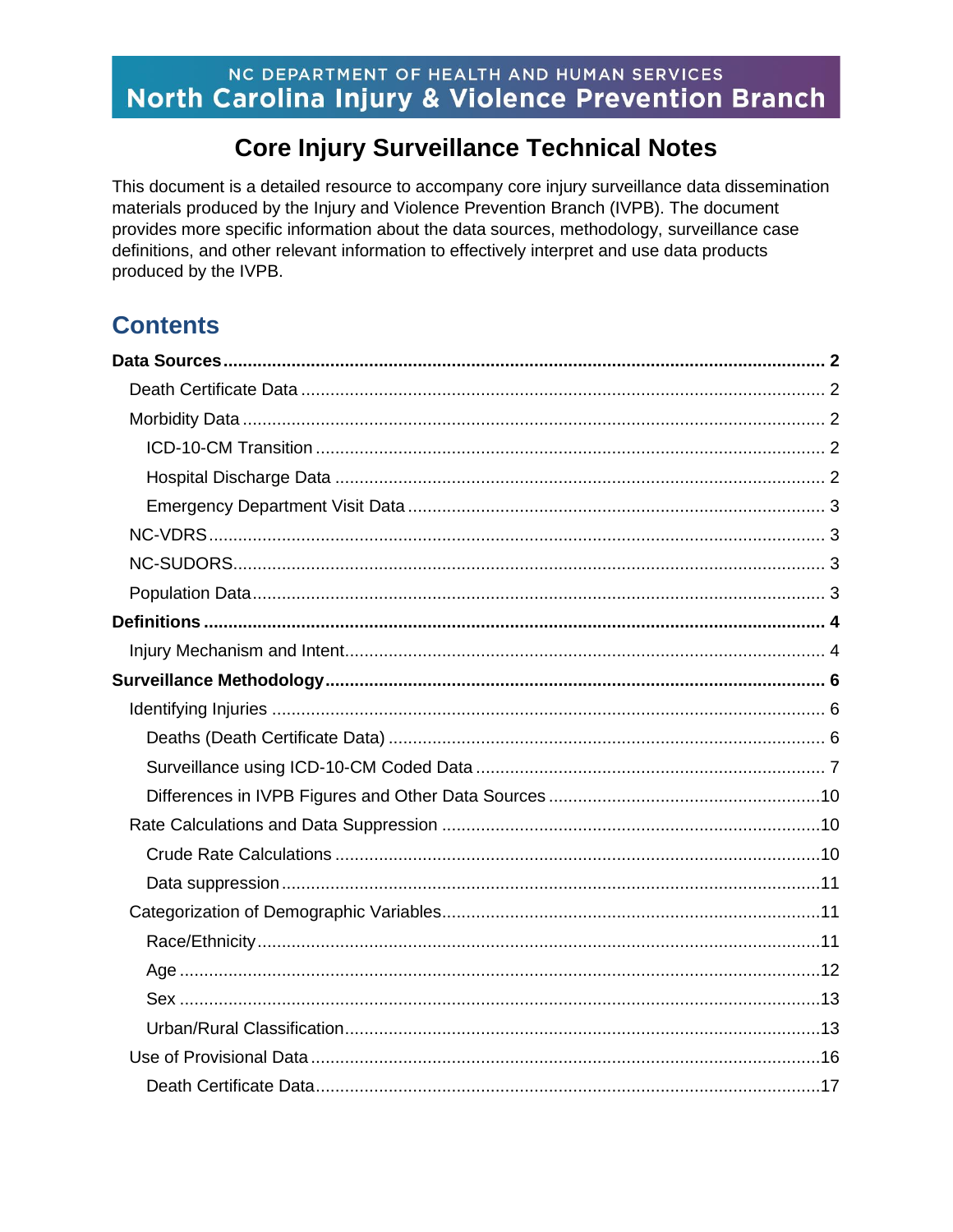# NC DEPARTMENT OF HEALTH AND HUMAN SERVICES North Carolina Injury & Violence Prevention Branch

# **Core Injury Surveillance Technical Notes**

This document is a detailed resource to accompany core injury surveillance data dissemination materials produced by the Injury and Violence Prevention Branch (IVPB). The document provides more specific information about the data sources, methodology, surveillance case definitions, and other relevant information to effectively interpret and use data products produced by the IVPB.

# **Contents**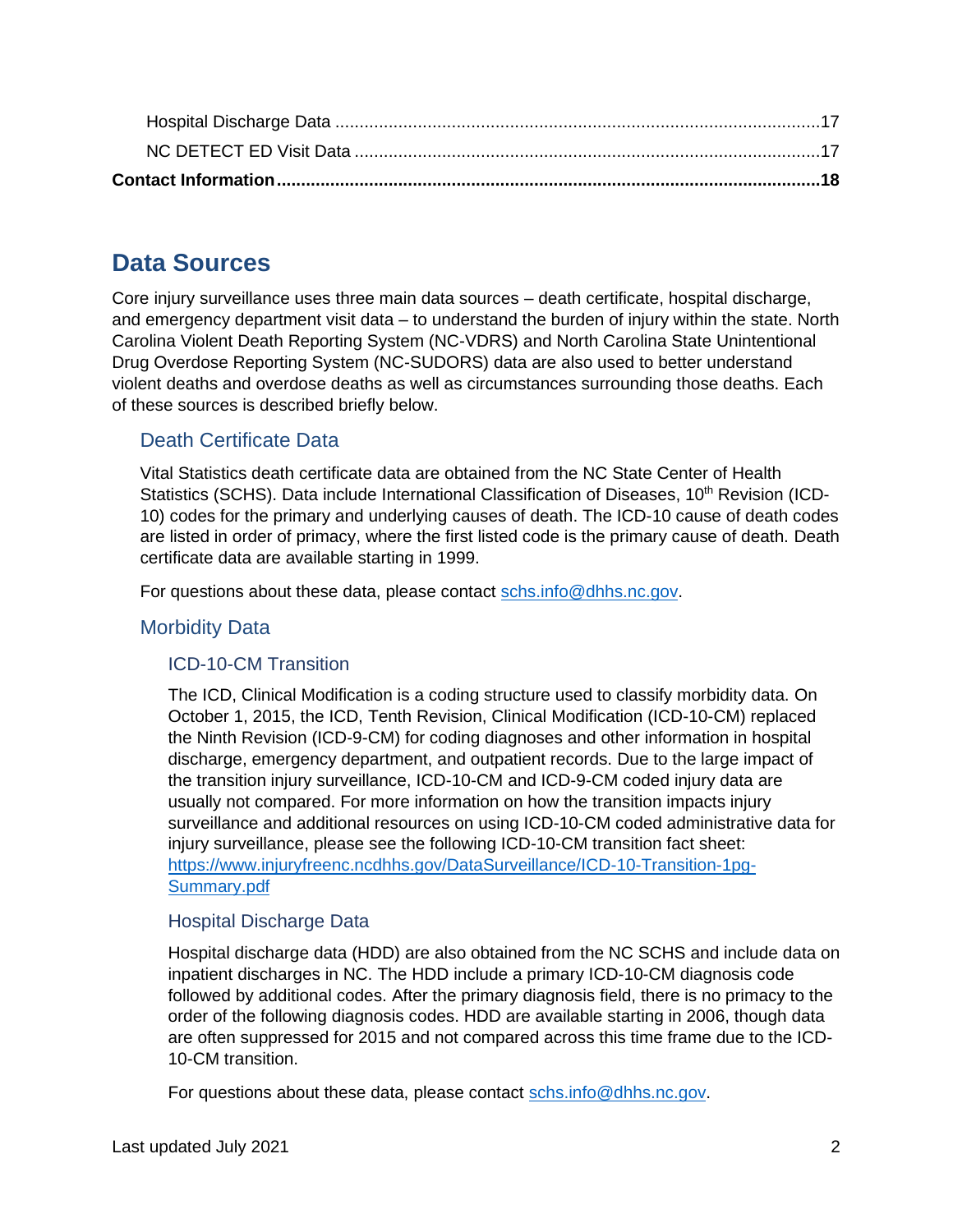# <span id="page-1-0"></span>**Data Sources**

Core injury surveillance uses three main data sources – death certificate, hospital discharge, and emergency department visit data – to understand the burden of injury within the state. North Carolina Violent Death Reporting System (NC-VDRS) and North Carolina State Unintentional Drug Overdose Reporting System (NC-SUDORS) data are also used to better understand violent deaths and overdose deaths as well as circumstances surrounding those deaths. Each of these sources is described briefly below.

# <span id="page-1-1"></span>Death Certificate Data

Vital Statistics death certificate data are obtained from the NC State Center of Health Statistics (SCHS). Data include International Classification of Diseases, 10<sup>th</sup> Revision (ICD-10) codes for the primary and underlying causes of death. The ICD-10 cause of death codes are listed in order of primacy, where the first listed code is the primary cause of death. Death certificate data are available starting in 1999.

For questions about these data, please contact [schs.info@dhhs.nc.gov.](file://///WV5DPHSIXFP01P/Share_IV/IVP/INJURY%20DATA/Data%20Dictionary/schs.info@dhhs.nc.gov)

# <span id="page-1-3"></span><span id="page-1-2"></span>Morbidity Data

# ICD-10-CM Transition

The ICD, Clinical Modification is a coding structure used to classify morbidity data. On October 1, 2015, the ICD, Tenth Revision, Clinical Modification (ICD-10-CM) replaced the Ninth Revision (ICD-9-CM) for coding diagnoses and other information in hospital discharge, emergency department, and outpatient records. Due to the large impact of the transition injury surveillance, ICD-10-CM and ICD-9-CM coded injury data are usually not compared. For more information on how the transition impacts injury surveillance and additional resources on using ICD-10-CM coded administrative data for injury surveillance, please see the following ICD-10-CM transition fact sheet: [https://www.injuryfreenc.ncdhhs.gov/DataSurveillance/ICD-10-Transition-1pg-](https://www.injuryfreenc.ncdhhs.gov/DataSurveillance/ICD-10-Transition-1pg-Summary.pdf)[Summary.pdf](https://www.injuryfreenc.ncdhhs.gov/DataSurveillance/ICD-10-Transition-1pg-Summary.pdf)

# <span id="page-1-4"></span>Hospital Discharge Data

Hospital discharge data (HDD) are also obtained from the NC SCHS and include data on inpatient discharges in NC. The HDD include a primary ICD-10-CM diagnosis code followed by additional codes. After the primary diagnosis field, there is no primacy to the order of the following diagnosis codes. HDD are available starting in 2006, though data are often suppressed for 2015 and not compared across this time frame due to the ICD-10-CM transition.

For questions about these data, please contact [schs.info@dhhs.nc.gov.](file://///WV5DPHSIXFP01P/Share_IV/IVP/INJURY%20DATA/Data%20Dictionary/schs.info@dhhs.nc.gov)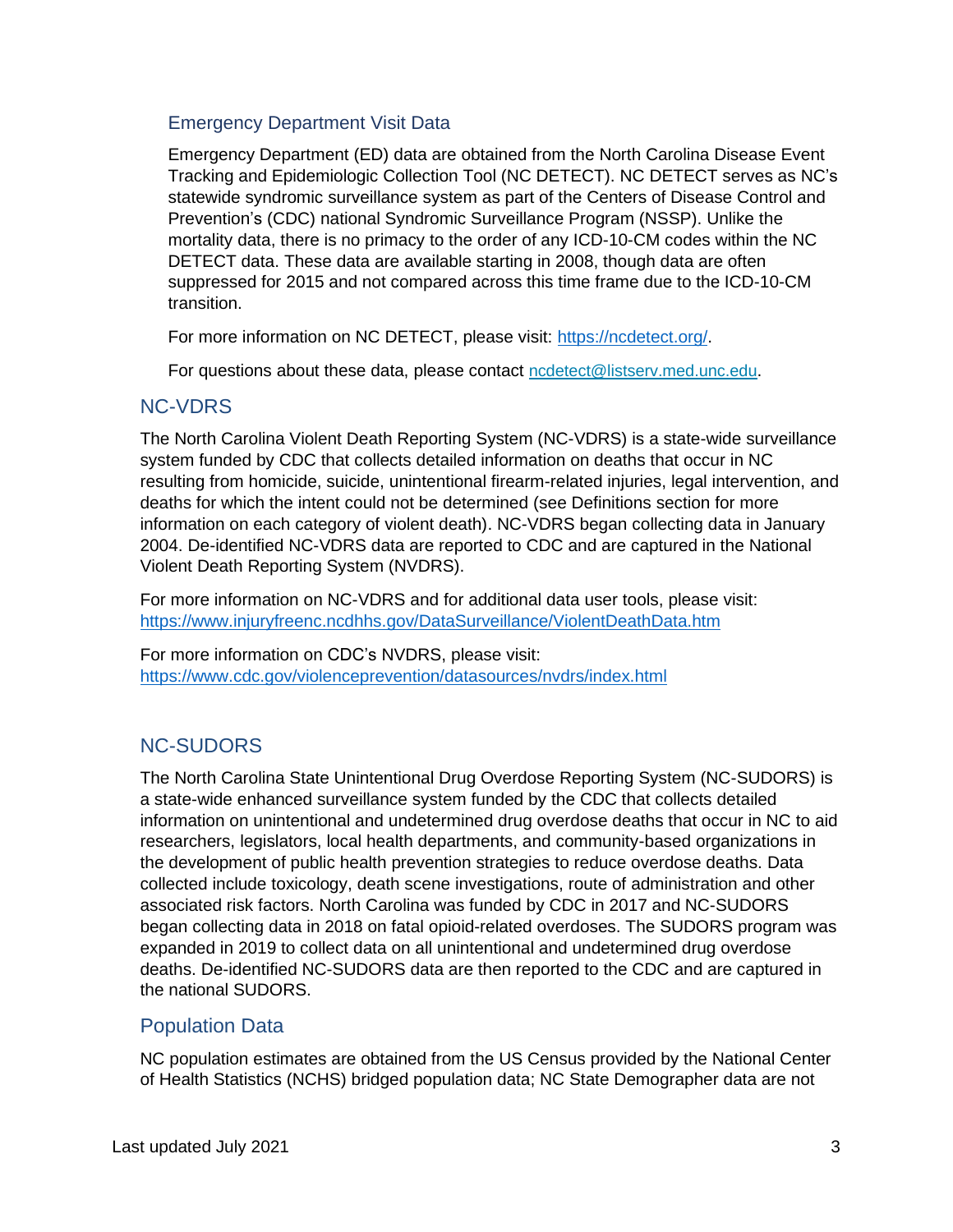# <span id="page-2-0"></span>Emergency Department Visit Data

Emergency Department (ED) data are obtained from the North Carolina Disease Event Tracking and Epidemiologic Collection Tool (NC DETECT). NC DETECT serves as NC's statewide syndromic surveillance system as part of the Centers of Disease Control and Prevention's (CDC) national Syndromic Surveillance Program (NSSP). Unlike the mortality data, there is no primacy to the order of any ICD-10-CM codes within the NC DETECT data. These data are available starting in 2008, though data are often suppressed for 2015 and not compared across this time frame due to the ICD-10-CM transition.

For more information on NC DETECT, please visit: [https://ncdetect.org/.](https://ncdetect.org/)

For questions about these data, please contact [ncdetect@listserv.med.unc.edu](mailto:ncdetect@listserv.med.unc.edu).

# <span id="page-2-1"></span>NC-VDRS

The North Carolina Violent Death Reporting System (NC-VDRS) is a state-wide surveillance system funded by CDC that collects detailed information on deaths that occur in NC resulting from homicide, suicide, unintentional firearm-related injuries, legal intervention, and deaths for which the intent could not be determined (see Definitions section for more information on each category of violent death). NC-VDRS began collecting data in January 2004. De-identified NC-VDRS data are reported to CDC and are captured in the National Violent Death Reporting System (NVDRS).

For more information on NC-VDRS and for additional data user tools, please visit: <https://www.injuryfreenc.ncdhhs.gov/DataSurveillance/ViolentDeathData.htm>

For more information on CDC's NVDRS, please visit: <https://www.cdc.gov/violenceprevention/datasources/nvdrs/index.html>

# <span id="page-2-2"></span>NC-SUDORS

The North Carolina State Unintentional Drug Overdose Reporting System (NC-SUDORS) is a state-wide enhanced surveillance system funded by the CDC that collects detailed information on unintentional and undetermined drug overdose deaths that occur in NC to aid researchers, legislators, local health departments, and community-based organizations in the development of public health prevention strategies to reduce overdose deaths. Data collected include toxicology, death scene investigations, route of administration and other associated risk factors. North Carolina was funded by CDC in 2017 and NC-SUDORS began collecting data in 2018 on fatal opioid-related overdoses. The SUDORS program was expanded in 2019 to collect data on all unintentional and undetermined drug overdose deaths. De-identified NC-SUDORS data are then reported to the CDC and are captured in the national SUDORS.

# <span id="page-2-3"></span>Population Data

NC population estimates are obtained from the US Census provided by the National Center of Health Statistics (NCHS) bridged population data; NC State Demographer data are not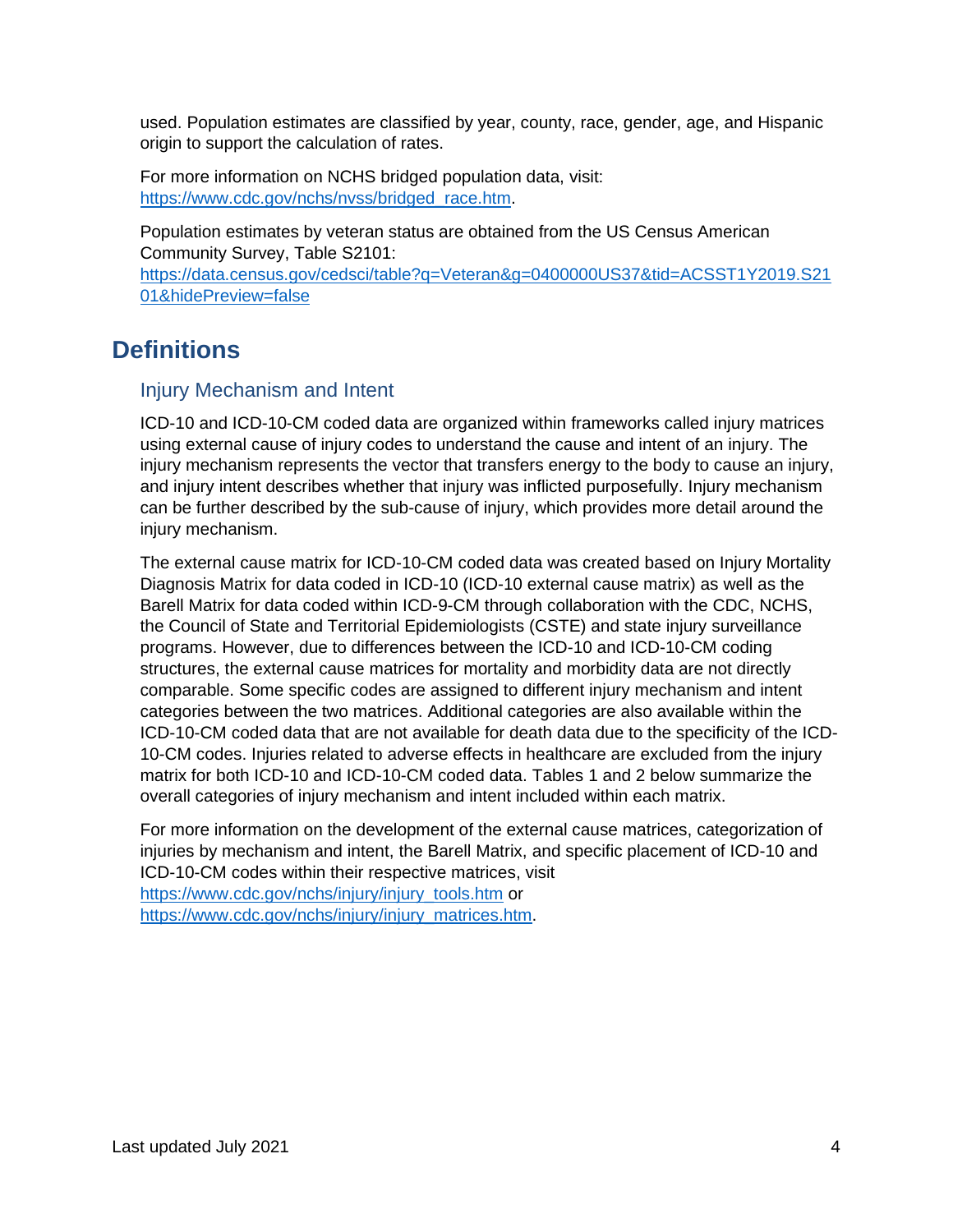used. Population estimates are classified by year, county, race, gender, age, and Hispanic origin to support the calculation of rates.

For more information on NCHS bridged population data, visit: [https://www.cdc.gov/nchs/nvss/bridged\\_race.htm.](https://www.cdc.gov/nchs/nvss/bridged_race.htm)

Population estimates by veteran status are obtained from the US Census American Community Survey, Table S2101: [https://data.census.gov/cedsci/table?q=Veteran&g=0400000US37&tid=ACSST1Y2019.S21](https://data.census.gov/cedsci/table?q=Veteran&g=0400000US37&tid=ACSST1Y2019.S2101&hidePreview=false) [01&hidePreview=false](https://data.census.gov/cedsci/table?q=Veteran&g=0400000US37&tid=ACSST1Y2019.S2101&hidePreview=false)

# <span id="page-3-0"></span>**Definitions**

# <span id="page-3-1"></span>Injury Mechanism and Intent

ICD-10 and ICD-10-CM coded data are organized within frameworks called injury matrices using external cause of injury codes to understand the cause and intent of an injury. The injury mechanism represents the vector that transfers energy to the body to cause an injury, and injury intent describes whether that injury was inflicted purposefully. Injury mechanism can be further described by the sub-cause of injury, which provides more detail around the injury mechanism.

The external cause matrix for ICD-10-CM coded data was created based on Injury Mortality Diagnosis Matrix for data coded in ICD-10 (ICD-10 external cause matrix) as well as the Barell Matrix for data coded within ICD-9-CM through collaboration with the CDC, NCHS, the Council of State and Territorial Epidemiologists (CSTE) and state injury surveillance programs. However, due to differences between the ICD-10 and ICD-10-CM coding structures, the external cause matrices for mortality and morbidity data are not directly comparable. Some specific codes are assigned to different injury mechanism and intent categories between the two matrices. Additional categories are also available within the ICD-10-CM coded data that are not available for death data due to the specificity of the ICD-10-CM codes. Injuries related to adverse effects in healthcare are excluded from the injury matrix for both ICD-10 and ICD-10-CM coded data. Tables 1 and 2 below summarize the overall categories of injury mechanism and intent included within each matrix.

For more information on the development of the external cause matrices, categorization of injuries by mechanism and intent, the Barell Matrix, and specific placement of ICD-10 and ICD-10-CM codes within their respective matrices, visit [https://www.cdc.gov/nchs/injury/injury\\_tools.htm](https://www.cdc.gov/nchs/injury/injury_tools.htm) or [https://www.cdc.gov/nchs/injury/injury\\_matrices.htm.](https://www.cdc.gov/nchs/injury/injury_matrices.htm)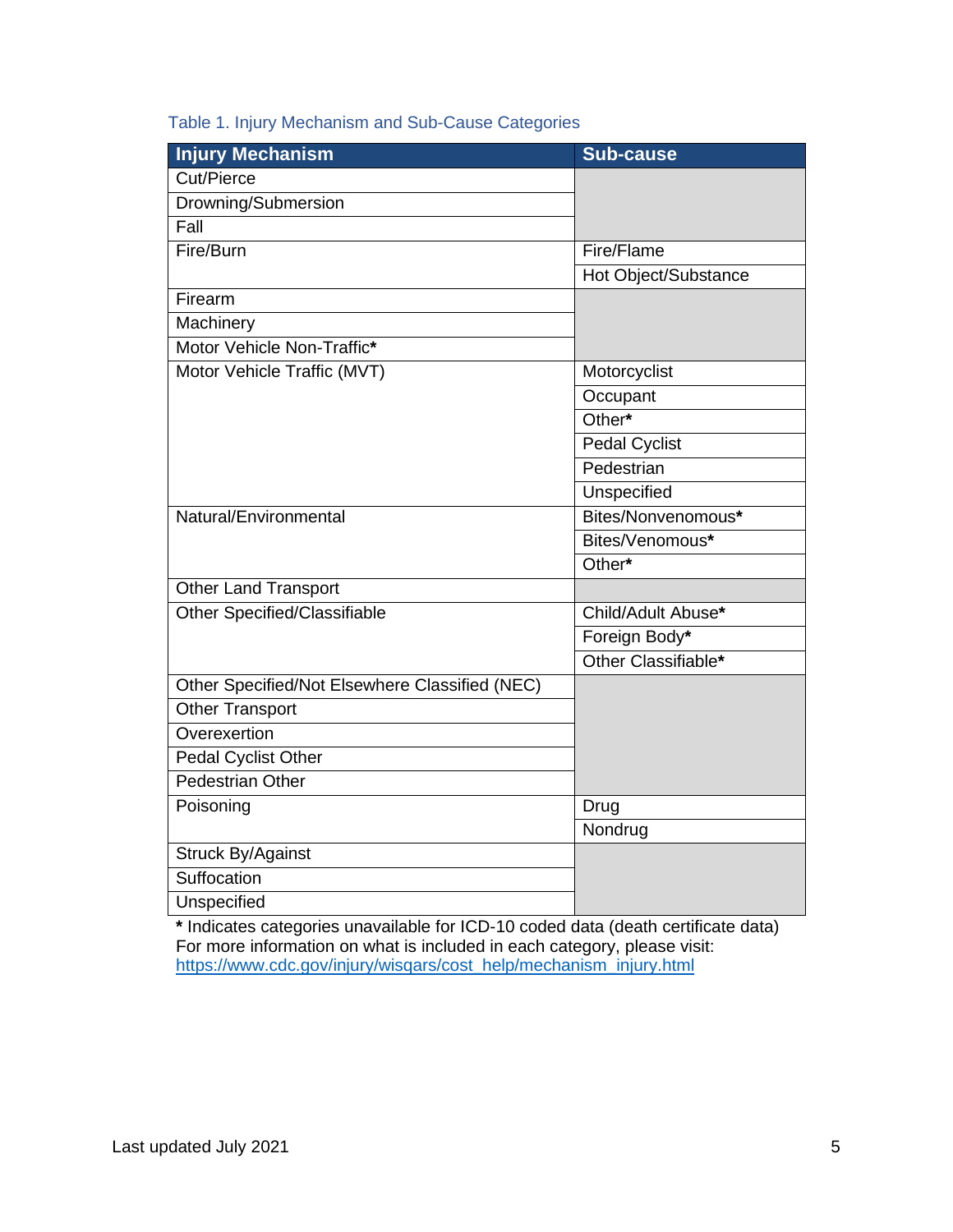# Table 1. Injury Mechanism and Sub-Cause Categories

| <b>Injury Mechanism</b>                        | <b>Sub-cause</b>     |
|------------------------------------------------|----------------------|
| Cut/Pierce                                     |                      |
| Drowning/Submersion                            |                      |
| Fall                                           |                      |
| Fire/Burn                                      | Fire/Flame           |
|                                                | Hot Object/Substance |
| Firearm                                        |                      |
| Machinery                                      |                      |
| Motor Vehicle Non-Traffic*                     |                      |
| Motor Vehicle Traffic (MVT)                    | Motorcyclist         |
|                                                | Occupant             |
|                                                | Other*               |
|                                                | <b>Pedal Cyclist</b> |
|                                                | Pedestrian           |
|                                                | <b>Unspecified</b>   |
| Natural/Environmental                          | Bites/Nonvenomous*   |
|                                                | Bites/Venomous*      |
|                                                | Other*               |
| <b>Other Land Transport</b>                    |                      |
| Other Specified/Classifiable                   | Child/Adult Abuse*   |
|                                                | Foreign Body*        |
|                                                | Other Classifiable*  |
| Other Specified/Not Elsewhere Classified (NEC) |                      |
| <b>Other Transport</b>                         |                      |
| Overexertion                                   |                      |
| Pedal Cyclist Other                            |                      |
| <b>Pedestrian Other</b>                        |                      |
| Poisoning                                      | Drug                 |
|                                                | Nondrug              |
| <b>Struck By/Against</b>                       |                      |
| Suffocation                                    |                      |
| Unspecified                                    |                      |

**\*** Indicates categories unavailable for ICD-10 coded data (death certificate data) For more information on what is included in each category, please visit: [https://www.cdc.gov/injury/wisqars/cost\\_help/mechanism\\_injury.html](https://www.cdc.gov/injury/wisqars/cost_help/mechanism_injury.html)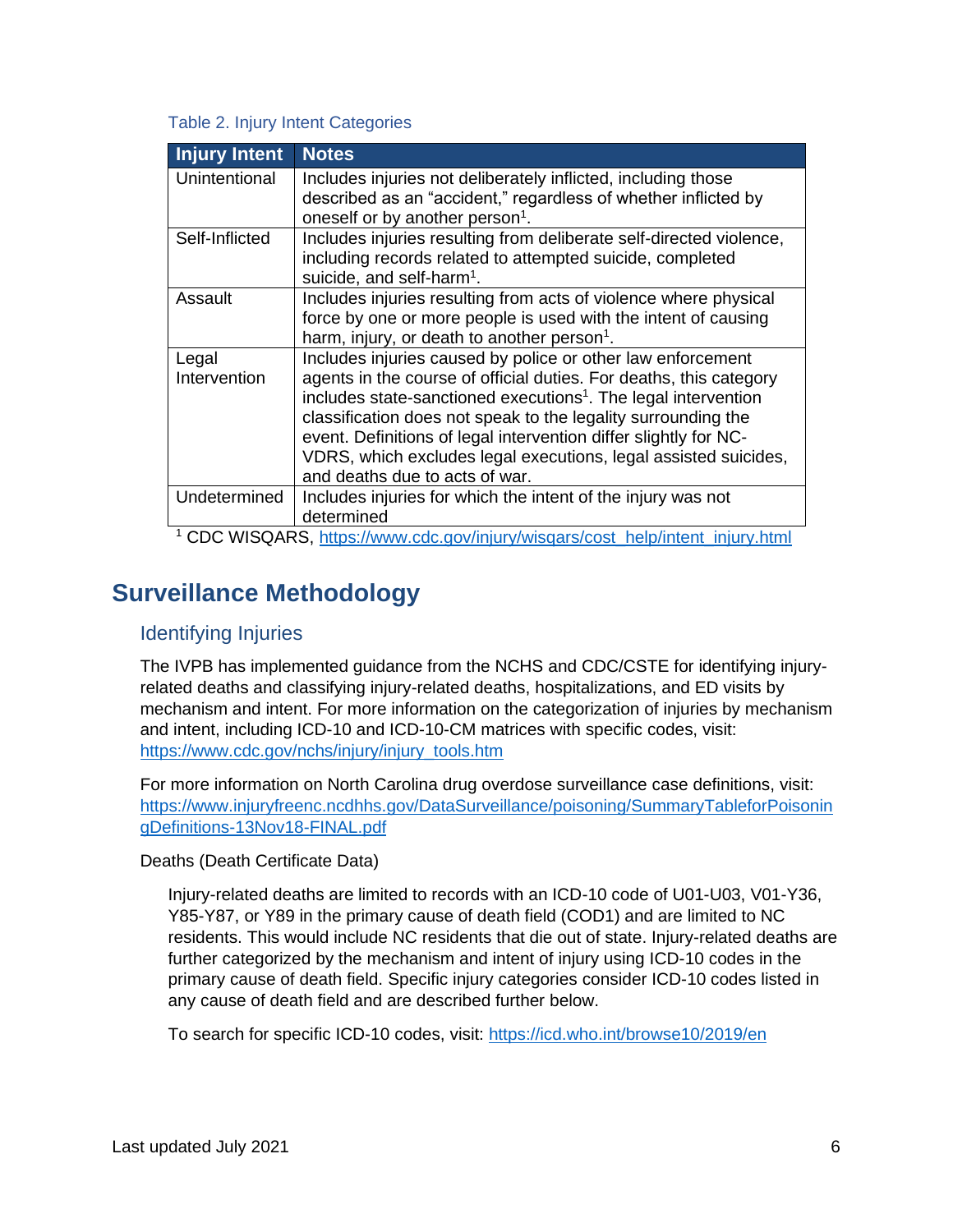#### Table 2. Injury Intent Categories

| <b>Injury Intent</b> | <b>Notes</b>                                                                                                                    |
|----------------------|---------------------------------------------------------------------------------------------------------------------------------|
| Unintentional        | Includes injuries not deliberately inflicted, including those<br>described as an "accident," regardless of whether inflicted by |
|                      | oneself or by another person <sup>1</sup> .                                                                                     |
| Self-Inflicted       | Includes injuries resulting from deliberate self-directed violence,                                                             |
|                      | including records related to attempted suicide, completed                                                                       |
|                      | suicide, and self-harm <sup>1</sup> .                                                                                           |
| Assault              | Includes injuries resulting from acts of violence where physical                                                                |
|                      | force by one or more people is used with the intent of causing                                                                  |
|                      | harm, injury, or death to another person <sup>1</sup> .                                                                         |
| Legal                | Includes injuries caused by police or other law enforcement                                                                     |
| Intervention         | agents in the course of official duties. For deaths, this category                                                              |
|                      | includes state-sanctioned executions <sup>1</sup> . The legal intervention                                                      |
|                      | classification does not speak to the legality surrounding the                                                                   |
|                      | event. Definitions of legal intervention differ slightly for NC-                                                                |
|                      | VDRS, which excludes legal executions, legal assisted suicides,                                                                 |
|                      | and deaths due to acts of war.                                                                                                  |
| Undetermined         | Includes injuries for which the intent of the injury was not                                                                    |
|                      | determined                                                                                                                      |
|                      | <sup>1</sup> CDC WISQARS, https://www.cdc.gov/injury/wisqars/cost_help/intent_injury.html                                       |

# <span id="page-5-0"></span>**Surveillance Methodology**

# <span id="page-5-1"></span>Identifying Injuries

The IVPB has implemented guidance from the NCHS and CDC/CSTE for identifying injuryrelated deaths and classifying injury-related deaths, hospitalizations, and ED visits by mechanism and intent. For more information on the categorization of injuries by mechanism and intent, including ICD-10 and ICD-10-CM matrices with specific codes, visit: [https://www.cdc.gov/nchs/injury/injury\\_tools.htm](https://www.cdc.gov/nchs/injury/injury_tools.htm)

For more information on North Carolina drug overdose surveillance case definitions, visit: [https://www.injuryfreenc.ncdhhs.gov/DataSurveillance/poisoning/SummaryTableforPoisonin](https://www.injuryfreenc.ncdhhs.gov/DataSurveillance/poisoning/SummaryTableforPoisoningDefinitions-13Nov18-FINAL.pdf) [gDefinitions-13Nov18-FINAL.pdf](https://www.injuryfreenc.ncdhhs.gov/DataSurveillance/poisoning/SummaryTableforPoisoningDefinitions-13Nov18-FINAL.pdf)

<span id="page-5-2"></span>Deaths (Death Certificate Data)

Injury-related deaths are limited to records with an ICD-10 code of U01-U03, V01-Y36, Y85-Y87, or Y89 in the primary cause of death field (COD1) and are limited to NC residents. This would include NC residents that die out of state. Injury-related deaths are further categorized by the mechanism and intent of injury using ICD-10 codes in the primary cause of death field. Specific injury categories consider ICD-10 codes listed in any cause of death field and are described further below.

To search for specific ICD-10 codes, visit:<https://icd.who.int/browse10/2019/en>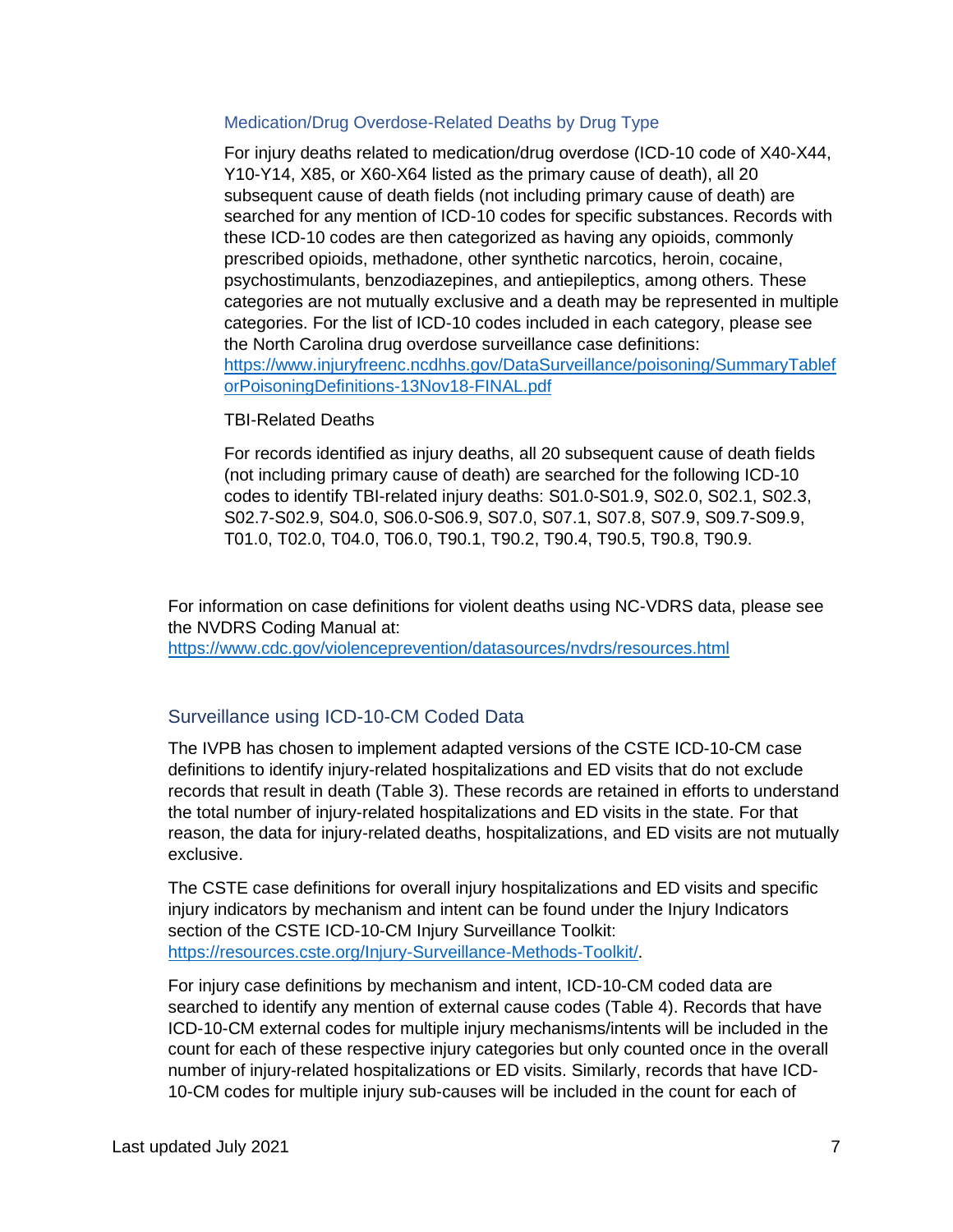#### Medication/Drug Overdose-Related Deaths by Drug Type

For injury deaths related to medication/drug overdose (ICD-10 code of X40-X44, Y10-Y14, X85, or X60-X64 listed as the primary cause of death), all 20 subsequent cause of death fields (not including primary cause of death) are searched for any mention of ICD-10 codes for specific substances. Records with these ICD-10 codes are then categorized as having any opioids, commonly prescribed opioids, methadone, other synthetic narcotics, heroin, cocaine, psychostimulants, benzodiazepines, and antiepileptics, among others. These categories are not mutually exclusive and a death may be represented in multiple categories. For the list of ICD-10 codes included in each category, please see the North Carolina drug overdose surveillance case definitions: [https://www.injuryfreenc.ncdhhs.gov/DataSurveillance/poisoning/SummaryTablef](https://www.injuryfreenc.ncdhhs.gov/DataSurveillance/poisoning/SummaryTableforPoisoningDefinitions-13Nov18-FINAL.pdf) [orPoisoningDefinitions-13Nov18-FINAL.pdf](https://www.injuryfreenc.ncdhhs.gov/DataSurveillance/poisoning/SummaryTableforPoisoningDefinitions-13Nov18-FINAL.pdf)

#### TBI-Related Deaths

For records identified as injury deaths, all 20 subsequent cause of death fields (not including primary cause of death) are searched for the following ICD-10 codes to identify TBI-related injury deaths: S01.0-S01.9, S02.0, S02.1, S02.3, S02.7-S02.9, S04.0, S06.0-S06.9, S07.0, S07.1, S07.8, S07.9, S09.7-S09.9, T01.0, T02.0, T04.0, T06.0, T90.1, T90.2, T90.4, T90.5, T90.8, T90.9.

For information on case definitions for violent deaths using NC-VDRS data, please see the NVDRS Coding Manual at:

<https://www.cdc.gov/violenceprevention/datasources/nvdrs/resources.html>

# <span id="page-6-0"></span>Surveillance using ICD-10-CM Coded Data

The IVPB has chosen to implement adapted versions of the CSTE ICD-10-CM case definitions to identify injury-related hospitalizations and ED visits that do not exclude records that result in death (Table 3). These records are retained in efforts to understand the total number of injury-related hospitalizations and ED visits in the state. For that reason, the data for injury-related deaths, hospitalizations, and ED visits are not mutually exclusive.

The CSTE case definitions for overall injury hospitalizations and ED visits and specific injury indicators by mechanism and intent can be found under the Injury Indicators section of the CSTE ICD-10-CM Injury Surveillance Toolkit: [https://resources.cste.org/Injury-Surveillance-Methods-Toolkit/.](https://resources.cste.org/Injury-Surveillance-Methods-Toolkit/)

For injury case definitions by mechanism and intent, ICD-10-CM coded data are searched to identify any mention of external cause codes (Table 4). Records that have ICD-10-CM external codes for multiple injury mechanisms/intents will be included in the count for each of these respective injury categories but only counted once in the overall number of injury-related hospitalizations or ED visits. Similarly, records that have ICD-10-CM codes for multiple injury sub-causes will be included in the count for each of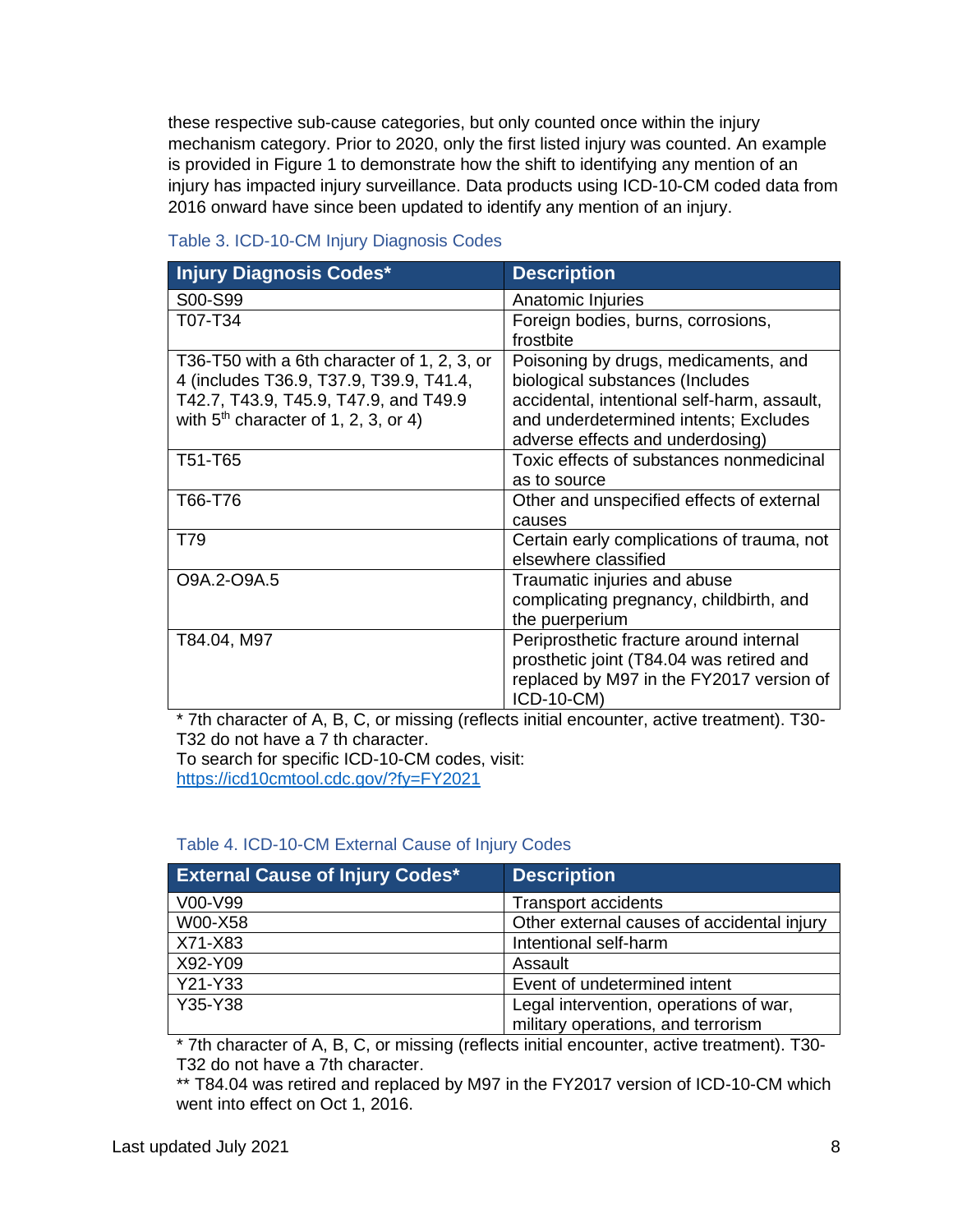these respective sub-cause categories, but only counted once within the injury mechanism category. Prior to 2020, only the first listed injury was counted. An example is provided in Figure 1 to demonstrate how the shift to identifying any mention of an injury has impacted injury surveillance. Data products using ICD-10-CM coded data from 2016 onward have since been updated to identify any mention of an injury.

| <b>Injury Diagnosis Codes*</b>                                                                                                                                            | <b>Description</b>                                                                                                                                                                                  |
|---------------------------------------------------------------------------------------------------------------------------------------------------------------------------|-----------------------------------------------------------------------------------------------------------------------------------------------------------------------------------------------------|
| S00-S99                                                                                                                                                                   | Anatomic Injuries                                                                                                                                                                                   |
| T07-T34                                                                                                                                                                   | Foreign bodies, burns, corrosions,<br>frostbite                                                                                                                                                     |
| T36-T50 with a 6th character of 1, 2, 3, or<br>4 (includes T36.9, T37.9, T39.9, T41.4,<br>T42.7, T43.9, T45.9, T47.9, and T49.9<br>with $5th$ character of 1, 2, 3, or 4) | Poisoning by drugs, medicaments, and<br>biological substances (Includes<br>accidental, intentional self-harm, assault,<br>and underdetermined intents; Excludes<br>adverse effects and underdosing) |
| T51-T65                                                                                                                                                                   | Toxic effects of substances nonmedicinal<br>as to source                                                                                                                                            |
| T66-T76                                                                                                                                                                   | Other and unspecified effects of external<br>causes                                                                                                                                                 |
| T79                                                                                                                                                                       | Certain early complications of trauma, not<br>elsewhere classified                                                                                                                                  |
| O9A.2-O9A.5                                                                                                                                                               | Traumatic injuries and abuse<br>complicating pregnancy, childbirth, and<br>the puerperium                                                                                                           |
| T84.04, M97                                                                                                                                                               | Periprosthetic fracture around internal<br>prosthetic joint (T84.04 was retired and<br>replaced by M97 in the FY2017 version of<br>ICD-10-CM)                                                       |

### Table 3. ICD-10-CM Injury Diagnosis Codes

\* 7th character of A, B, C, or missing (reflects initial encounter, active treatment). T30- T32 do not have a 7 th character. To search for specific ICD-10-CM codes, visit:

<https://icd10cmtool.cdc.gov/?fy=FY2021>

# Table 4. ICD-10-CM External Cause of Injury Codes

| <b>External Cause of Injury Codes*</b> | <b>Description</b>                                                           |
|----------------------------------------|------------------------------------------------------------------------------|
| V00-V99                                | <b>Transport accidents</b>                                                   |
| W00-X58                                | Other external causes of accidental injury                                   |
| X71-X83                                | Intentional self-harm                                                        |
| X92-Y09                                | Assault                                                                      |
| Y21-Y33                                | Event of undetermined intent                                                 |
| Y35-Y38                                | Legal intervention, operations of war,<br>military operations, and terrorism |

\* 7th character of A, B, C, or missing (reflects initial encounter, active treatment). T30- T32 do not have a 7th character.

\*\* T84.04 was retired and replaced by M97 in the FY2017 version of ICD-10-CM which went into effect on Oct 1, 2016.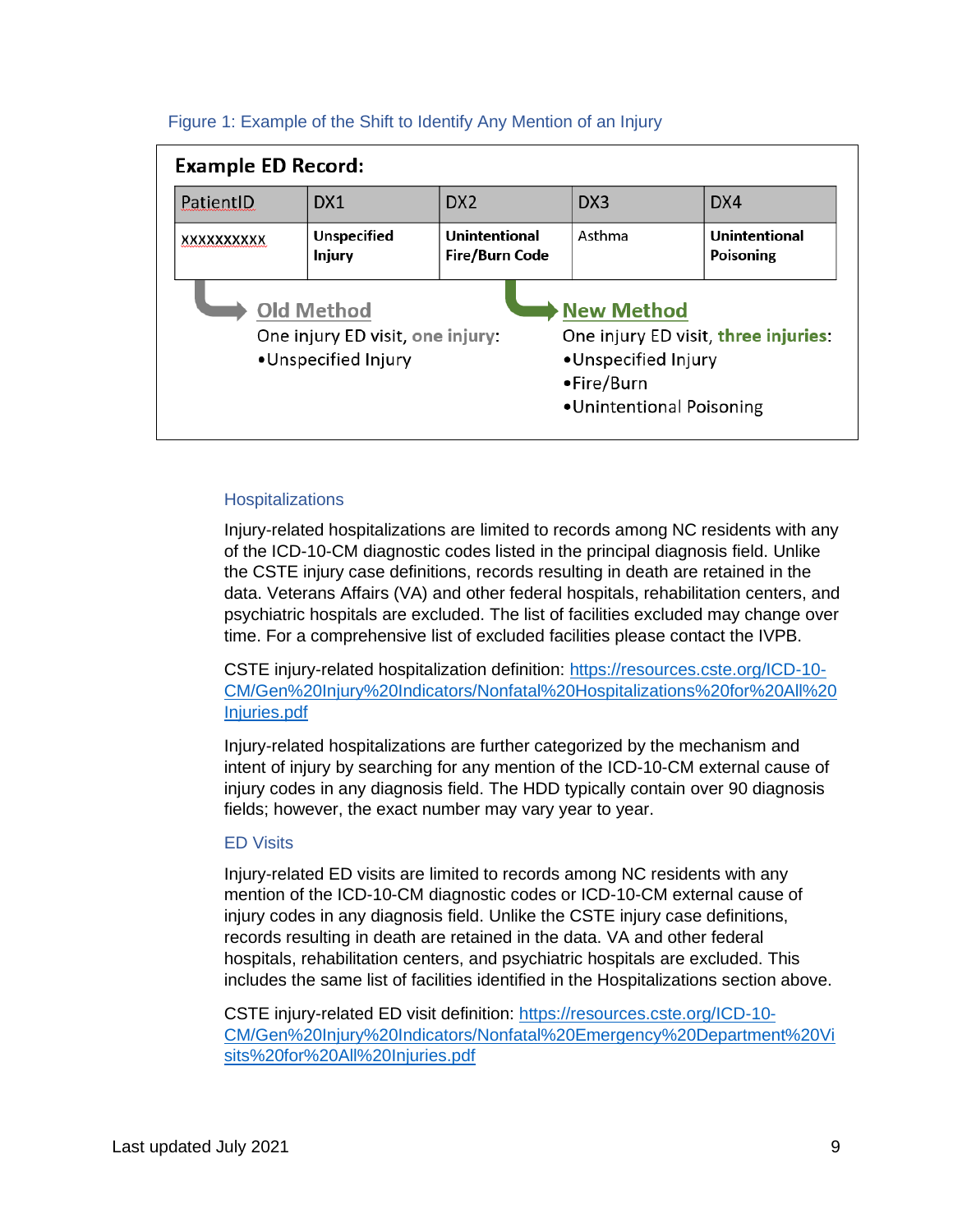| <b>Example ED Record:</b>                                                                                                                                                                                  |                                     |                                 |                 |                            |  |  |
|------------------------------------------------------------------------------------------------------------------------------------------------------------------------------------------------------------|-------------------------------------|---------------------------------|-----------------|----------------------------|--|--|
| PatientID                                                                                                                                                                                                  | DX1                                 | DX <sub>2</sub>                 | DX <sub>3</sub> | DX4                        |  |  |
| XXXXXXXXXX                                                                                                                                                                                                 | <b>Unspecified</b><br><b>Injury</b> | Unintentional<br>Fire/Burn Code | Asthma          | Unintentional<br>Poisoning |  |  |
| <b>Old Method</b><br><b>New Method</b><br>One injury ED visit, three injuries:<br>One injury ED visit, one injury:<br>•Unspecified Injury<br>•Unspecified Injury<br>•Fire/Burn<br>•Unintentional Poisoning |                                     |                                 |                 |                            |  |  |

#### Figure 1: Example of the Shift to Identify Any Mention of an Injury

#### **Hospitalizations**

Injury-related hospitalizations are limited to records among NC residents with any of the ICD-10-CM diagnostic codes listed in the principal diagnosis field. Unlike the CSTE injury case definitions, records resulting in death are retained in the data. Veterans Affairs (VA) and other federal hospitals, rehabilitation centers, and psychiatric hospitals are excluded. The list of facilities excluded may change over time. For a comprehensive list of excluded facilities please contact the IVPB.

CSTE injury-related hospitalization definition: [https://resources.cste.org/ICD-10-](https://resources.cste.org/ICD-10-CM/Gen%20Injury%20Indicators/Nonfatal%20Hospitalizations%20for%20All%20Injuries.pdf) [CM/Gen%20Injury%20Indicators/Nonfatal%20Hospitalizations%20for%20All%20](https://resources.cste.org/ICD-10-CM/Gen%20Injury%20Indicators/Nonfatal%20Hospitalizations%20for%20All%20Injuries.pdf) [Injuries.pdf](https://resources.cste.org/ICD-10-CM/Gen%20Injury%20Indicators/Nonfatal%20Hospitalizations%20for%20All%20Injuries.pdf)

Injury-related hospitalizations are further categorized by the mechanism and intent of injury by searching for any mention of the ICD-10-CM external cause of injury codes in any diagnosis field. The HDD typically contain over 90 diagnosis fields; however, the exact number may vary year to year.

#### ED Visits

Injury-related ED visits are limited to records among NC residents with any mention of the ICD-10-CM diagnostic codes or ICD-10-CM external cause of injury codes in any diagnosis field. Unlike the CSTE injury case definitions, records resulting in death are retained in the data. VA and other federal hospitals, rehabilitation centers, and psychiatric hospitals are excluded. This includes the same list of facilities identified in the Hospitalizations section above.

CSTE injury-related ED visit definition: [https://resources.cste.org/ICD-10-](https://resources.cste.org/ICD-10-CM/Gen%20Injury%20Indicators/Nonfatal%20Emergency%20Department%20Visits%20for%20All%20Injuries.pdf) [CM/Gen%20Injury%20Indicators/Nonfatal%20Emergency%20Department%20Vi](https://resources.cste.org/ICD-10-CM/Gen%20Injury%20Indicators/Nonfatal%20Emergency%20Department%20Visits%20for%20All%20Injuries.pdf) [sits%20for%20All%20Injuries.pdf](https://resources.cste.org/ICD-10-CM/Gen%20Injury%20Indicators/Nonfatal%20Emergency%20Department%20Visits%20for%20All%20Injuries.pdf)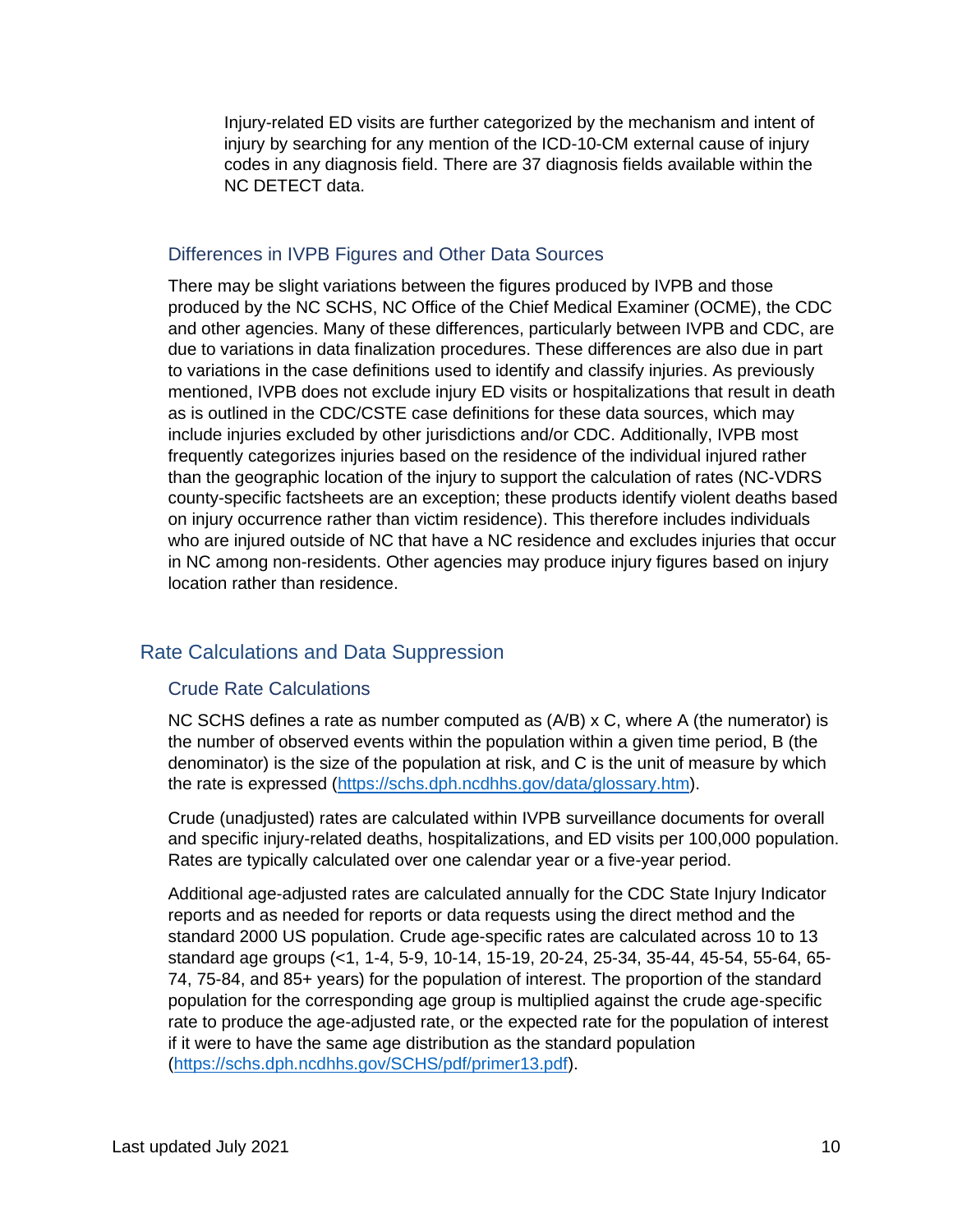Injury-related ED visits are further categorized by the mechanism and intent of injury by searching for any mention of the ICD-10-CM external cause of injury codes in any diagnosis field. There are 37 diagnosis fields available within the NC DETECT data.

#### <span id="page-9-0"></span>Differences in IVPB Figures and Other Data Sources

There may be slight variations between the figures produced by IVPB and those produced by the NC SCHS, NC Office of the Chief Medical Examiner (OCME), the CDC and other agencies. Many of these differences, particularly between IVPB and CDC, are due to variations in data finalization procedures. These differences are also due in part to variations in the case definitions used to identify and classify injuries. As previously mentioned, IVPB does not exclude injury ED visits or hospitalizations that result in death as is outlined in the CDC/CSTE case definitions for these data sources, which may include injuries excluded by other jurisdictions and/or CDC. Additionally, IVPB most frequently categorizes injuries based on the residence of the individual injured rather than the geographic location of the injury to support the calculation of rates (NC-VDRS county-specific factsheets are an exception; these products identify violent deaths based on injury occurrence rather than victim residence). This therefore includes individuals who are injured outside of NC that have a NC residence and excludes injuries that occur in NC among non-residents. Other agencies may produce injury figures based on injury location rather than residence.

# <span id="page-9-2"></span><span id="page-9-1"></span>Rate Calculations and Data Suppression

# Crude Rate Calculations

NC SCHS defines a rate as number computed as (A/B) x C, where A (the numerator) is the number of observed events within the population within a given time period, B (the denominator) is the size of the population at risk, and C is the unit of measure by which the rate is expressed [\(https://schs.dph.ncdhhs.gov/data/glossary.htm\)](https://schs.dph.ncdhhs.gov/data/glossary.htm).

Crude (unadjusted) rates are calculated within IVPB surveillance documents for overall and specific injury-related deaths, hospitalizations, and ED visits per 100,000 population. Rates are typically calculated over one calendar year or a five-year period.

Additional age-adjusted rates are calculated annually for the CDC State Injury Indicator reports and as needed for reports or data requests using the direct method and the standard 2000 US population. Crude age-specific rates are calculated across 10 to 13 standard age groups (<1, 1-4, 5-9, 10-14, 15-19, 20-24, 25-34, 35-44, 45-54, 55-64, 65- 74, 75-84, and 85+ years) for the population of interest. The proportion of the standard population for the corresponding age group is multiplied against the crude age-specific rate to produce the age-adjusted rate, or the expected rate for the population of interest if it were to have the same age distribution as the standard population [\(https://schs.dph.ncdhhs.gov/SCHS/pdf/primer13.pdf\)](https://schs.dph.ncdhhs.gov/SCHS/pdf/primer13.pdf).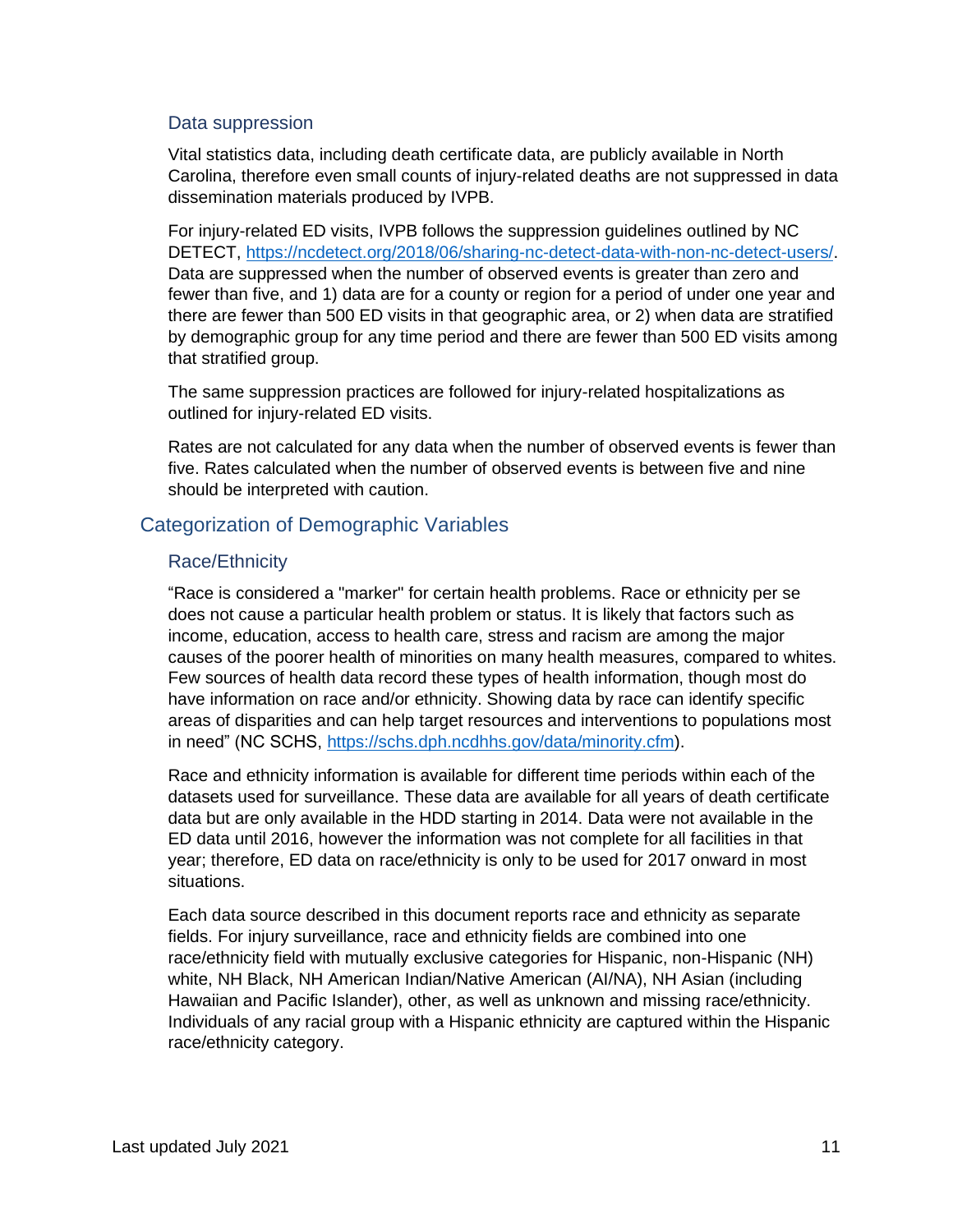#### <span id="page-10-0"></span>Data suppression

Vital statistics data, including death certificate data, are publicly available in North Carolina, therefore even small counts of injury-related deaths are not suppressed in data dissemination materials produced by IVPB.

For injury-related ED visits, IVPB follows the suppression guidelines outlined by NC DETECT, [https://ncdetect.org/2018/06/sharing-nc-detect-data-with-non-nc-detect-users/.](https://ncdetect.org/2018/06/sharing-nc-detect-data-with-non-nc-detect-users/) Data are suppressed when the number of observed events is greater than zero and fewer than five, and 1) data are for a county or region for a period of under one year and there are fewer than 500 ED visits in that geographic area, or 2) when data are stratified by demographic group for any time period and there are fewer than 500 ED visits among that stratified group.

The same suppression practices are followed for injury-related hospitalizations as outlined for injury-related ED visits.

Rates are not calculated for any data when the number of observed events is fewer than five. Rates calculated when the number of observed events is between five and nine should be interpreted with caution.

# <span id="page-10-1"></span>Categorization of Demographic Variables

### <span id="page-10-2"></span>Race/Ethnicity

"Race is considered a "marker" for certain health problems. Race or ethnicity per se does not cause a particular health problem or status. It is likely that factors such as income, education, access to health care, stress and racism are among the major causes of the poorer health of minorities on many health measures, compared to whites. Few sources of health data record these types of health information, though most do have information on race and/or ethnicity. Showing data by race can identify specific areas of disparities and can help target resources and interventions to populations most in need" (NC SCHS, [https://schs.dph.ncdhhs.gov/data/minority.cfm\)](https://schs.dph.ncdhhs.gov/data/minority.cfm).

Race and ethnicity information is available for different time periods within each of the datasets used for surveillance. These data are available for all years of death certificate data but are only available in the HDD starting in 2014. Data were not available in the ED data until 2016, however the information was not complete for all facilities in that year; therefore, ED data on race/ethnicity is only to be used for 2017 onward in most situations.

Each data source described in this document reports race and ethnicity as separate fields. For injury surveillance, race and ethnicity fields are combined into one race/ethnicity field with mutually exclusive categories for Hispanic, non-Hispanic (NH) white, NH Black, NH American Indian/Native American (AI/NA), NH Asian (including Hawaiian and Pacific Islander), other, as well as unknown and missing race/ethnicity. Individuals of any racial group with a Hispanic ethnicity are captured within the Hispanic race/ethnicity category.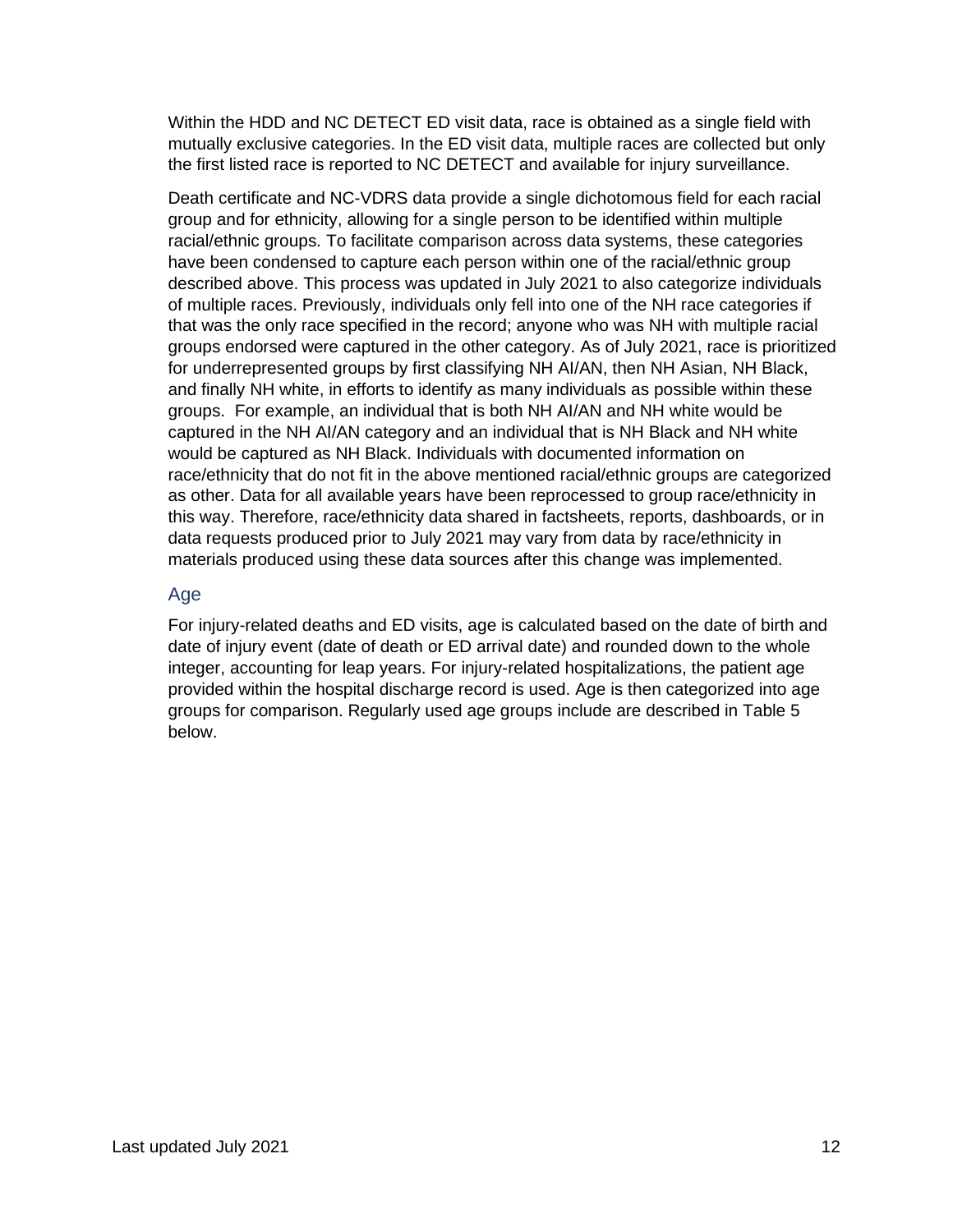Within the HDD and NC DETECT ED visit data, race is obtained as a single field with mutually exclusive categories. In the ED visit data, multiple races are collected but only the first listed race is reported to NC DETECT and available for injury surveillance.

Death certificate and NC-VDRS data provide a single dichotomous field for each racial group and for ethnicity, allowing for a single person to be identified within multiple racial/ethnic groups. To facilitate comparison across data systems, these categories have been condensed to capture each person within one of the racial/ethnic group described above. This process was updated in July 2021 to also categorize individuals of multiple races. Previously, individuals only fell into one of the NH race categories if that was the only race specified in the record; anyone who was NH with multiple racial groups endorsed were captured in the other category. As of July 2021, race is prioritized for underrepresented groups by first classifying NH AI/AN, then NH Asian, NH Black, and finally NH white, in efforts to identify as many individuals as possible within these groups. For example, an individual that is both NH AI/AN and NH white would be captured in the NH AI/AN category and an individual that is NH Black and NH white would be captured as NH Black. Individuals with documented information on race/ethnicity that do not fit in the above mentioned racial/ethnic groups are categorized as other. Data for all available years have been reprocessed to group race/ethnicity in this way. Therefore, race/ethnicity data shared in factsheets, reports, dashboards, or in data requests produced prior to July 2021 may vary from data by race/ethnicity in materials produced using these data sources after this change was implemented.

# <span id="page-11-0"></span>Age

For injury-related deaths and ED visits, age is calculated based on the date of birth and date of injury event (date of death or ED arrival date) and rounded down to the whole integer, accounting for leap years. For injury-related hospitalizations, the patient age provided within the hospital discharge record is used. Age is then categorized into age groups for comparison. Regularly used age groups include are described in Table 5 below.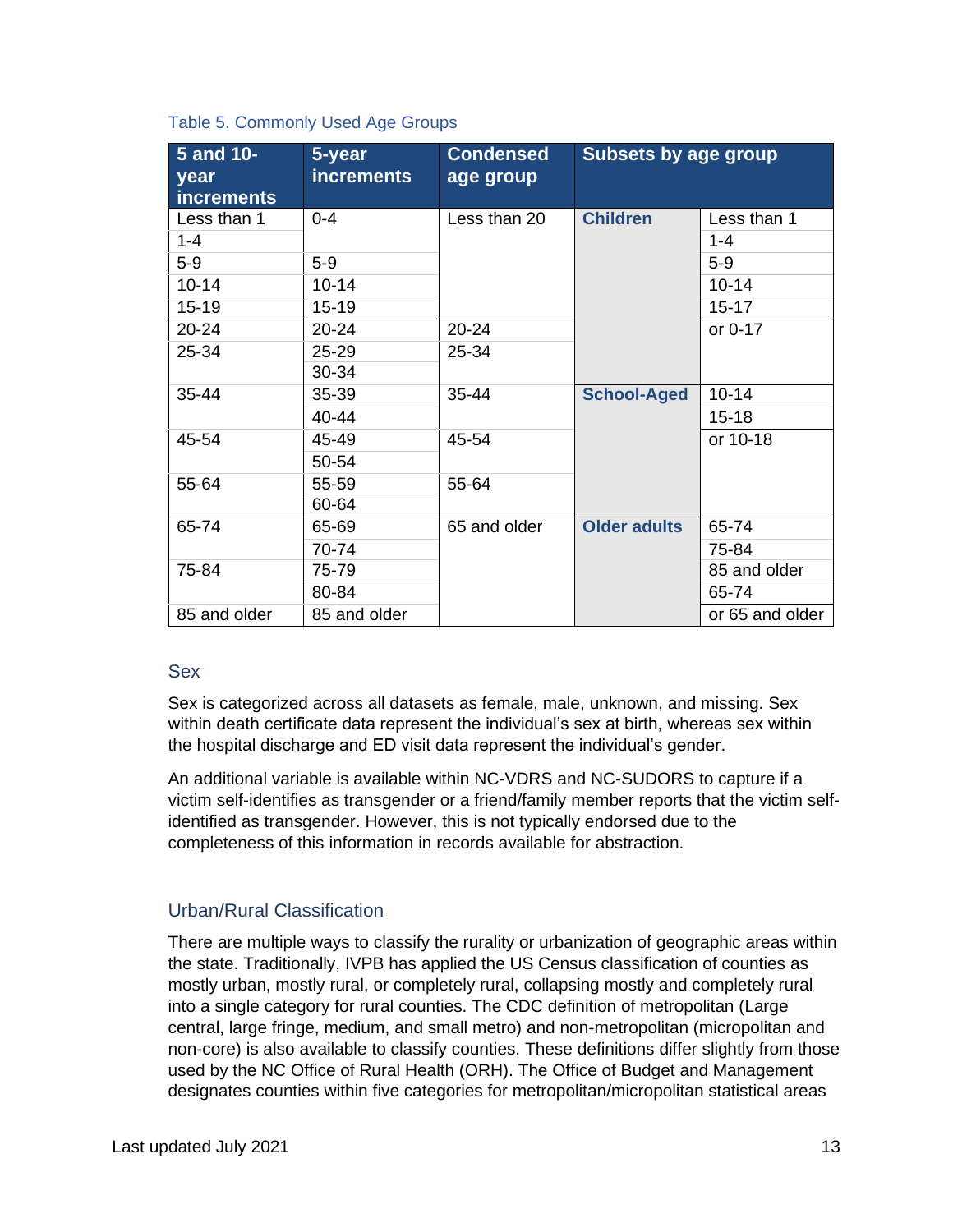|  | Table 5. Commonly Used Age Groups |  |  |
|--|-----------------------------------|--|--|
|--|-----------------------------------|--|--|

| 5 and 10-<br>year<br><b>increments</b> | 5-year<br><b>increments</b> | <b>Condensed</b><br>age group | <b>Subsets by age group</b> |                 |  |
|----------------------------------------|-----------------------------|-------------------------------|-----------------------------|-----------------|--|
| Less than 1                            | $0 - 4$                     | Less than 20                  | <b>Children</b>             | Less than 1     |  |
| $1 - 4$                                |                             |                               |                             | $1 - 4$         |  |
| $5-9$                                  | $5-9$                       |                               |                             | $5-9$           |  |
| $10 - 14$                              | $10 - 14$                   |                               |                             | $10 - 14$       |  |
| 15-19                                  | 15-19                       |                               |                             | $15 - 17$       |  |
| $20 - 24$                              | $20 - 24$                   | $20 - 24$                     |                             | or 0-17         |  |
| 25-34                                  | 25-29                       | 25-34                         |                             |                 |  |
|                                        | 30-34                       |                               |                             |                 |  |
| 35-44                                  | 35-39                       | 35-44                         | <b>School-Aged</b>          | $10 - 14$       |  |
|                                        | 40-44                       |                               |                             | $15 - 18$       |  |
| 45-54                                  | 45-49                       | 45-54                         |                             | or 10-18        |  |
|                                        | 50-54                       |                               |                             |                 |  |
| 55-64                                  | 55-59                       | 55-64                         |                             |                 |  |
|                                        | 60-64                       |                               |                             |                 |  |
| 65-74                                  | 65-69                       | 65 and older                  | <b>Older adults</b>         | 65-74           |  |
|                                        | 70-74                       |                               |                             | 75-84           |  |
| 75-84                                  | 75-79                       |                               |                             | 85 and older    |  |
|                                        | 80-84                       |                               |                             | 65-74           |  |
| 85 and older                           | 85 and older                |                               |                             | or 65 and older |  |

#### <span id="page-12-0"></span>Sex

Sex is categorized across all datasets as female, male, unknown, and missing. Sex within death certificate data represent the individual's sex at birth, whereas sex within the hospital discharge and ED visit data represent the individual's gender.

An additional variable is available within NC-VDRS and NC-SUDORS to capture if a victim self-identifies as transgender or a friend/family member reports that the victim selfidentified as transgender. However, this is not typically endorsed due to the completeness of this information in records available for abstraction.

# <span id="page-12-1"></span>Urban/Rural Classification

There are multiple ways to classify the rurality or urbanization of geographic areas within the state. Traditionally, IVPB has applied the US Census classification of counties as mostly urban, mostly rural, or completely rural, collapsing mostly and completely rural into a single category for rural counties. The CDC definition of metropolitan (Large central, large fringe, medium, and small metro) and non-metropolitan (micropolitan and non-core) is also available to classify counties. These definitions differ slightly from those used by the NC Office of Rural Health (ORH). The Office of Budget and Management designates counties within five categories for metropolitan/micropolitan statistical areas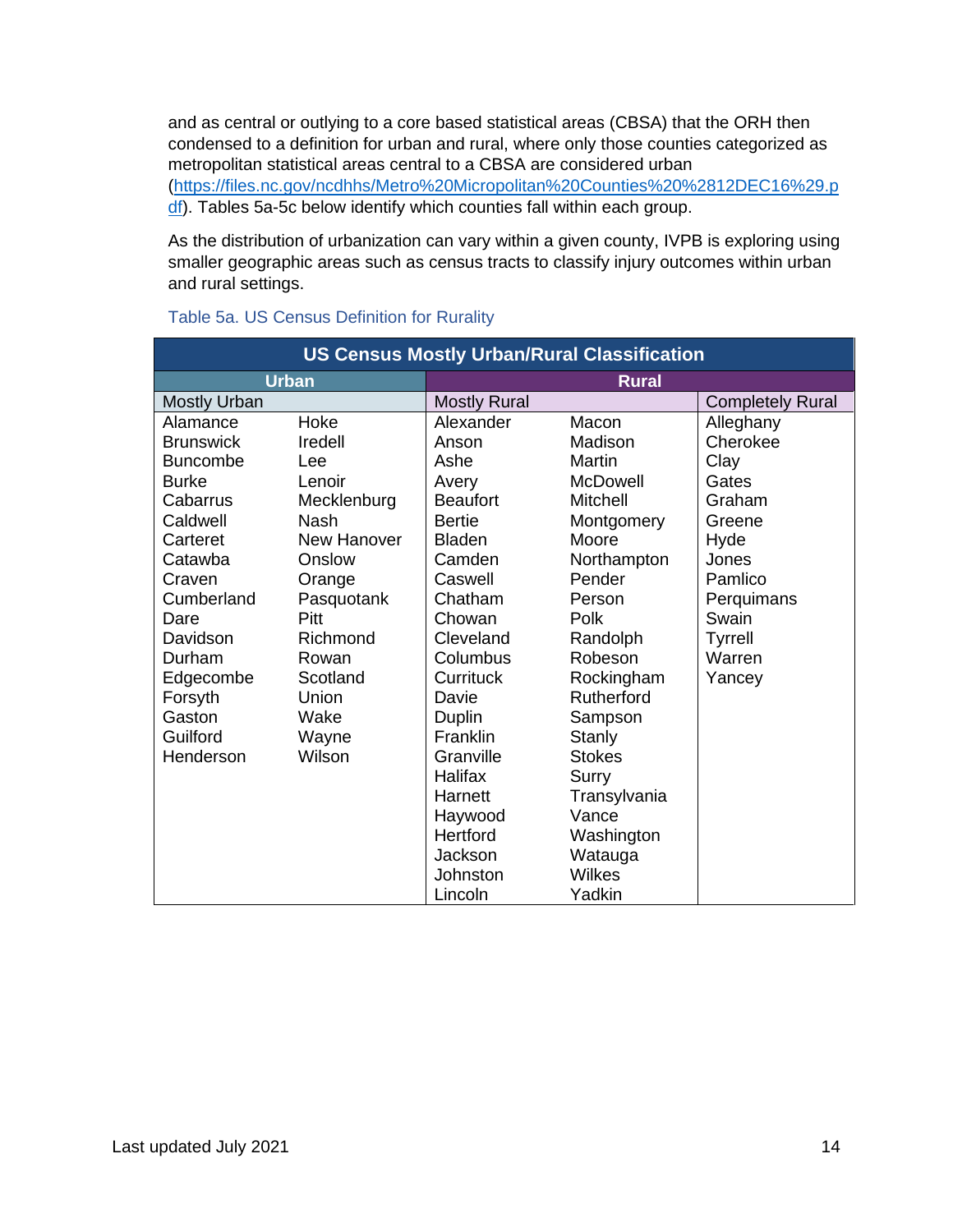and as central or outlying to a core based statistical areas (CBSA) that the ORH then condensed to a definition for urban and rural, where only those counties categorized as metropolitan statistical areas central to a CBSA are considered urban [\(https://files.nc.gov/ncdhhs/Metro%20Micropolitan%20Counties%20%2812DEC16%29.p](https://files.nc.gov/ncdhhs/Metro%20Micropolitan%20Counties%20%2812DEC16%29.pdf) [df\)](https://files.nc.gov/ncdhhs/Metro%20Micropolitan%20Counties%20%2812DEC16%29.pdf). Tables 5a-5c below identify which counties fall within each group.

As the distribution of urbanization can vary within a given county, IVPB is exploring using smaller geographic areas such as census tracts to classify injury outcomes within urban and rural settings.

| <b>US Census Mostly Urban/Rural Classification</b> |             |                     |               |                         |  |
|----------------------------------------------------|-------------|---------------------|---------------|-------------------------|--|
| <b>Urban</b><br><b>Rural</b>                       |             |                     |               |                         |  |
| <b>Mostly Urban</b>                                |             | <b>Mostly Rural</b> |               | <b>Completely Rural</b> |  |
| Alamance                                           | Hoke        | Alexander           | Macon         | Alleghany               |  |
| <b>Brunswick</b>                                   | Iredell     | Anson               | Madison       | Cherokee                |  |
| <b>Buncombe</b>                                    | Lee         | Ashe                | Martin        | Clay                    |  |
| <b>Burke</b>                                       | Lenoir      | Avery               | McDowell      | Gates                   |  |
| Cabarrus                                           | Mecklenburg | <b>Beaufort</b>     | Mitchell      | Graham                  |  |
| Caldwell                                           | Nash        | <b>Bertie</b>       | Montgomery    | Greene                  |  |
| Carteret                                           | New Hanover | <b>Bladen</b>       | Moore         | Hyde                    |  |
| Catawba                                            | Onslow      | Camden              | Northampton   | Jones                   |  |
| Craven                                             | Orange      | Caswell             | Pender        | Pamlico                 |  |
| Cumberland                                         | Pasquotank  | Chatham             | Person        | Perquimans              |  |
| Dare                                               | Pitt        | Chowan              | Polk          | Swain                   |  |
| Davidson                                           | Richmond    | Cleveland           | Randolph      | <b>Tyrrell</b>          |  |
| Durham                                             | Rowan       | Columbus            | Robeson       | Warren                  |  |
| Edgecombe                                          | Scotland    | Currituck           | Rockingham    | Yancey                  |  |
| Forsyth                                            | Union       | Davie               | Rutherford    |                         |  |
| Gaston                                             | Wake        | Duplin              | Sampson       |                         |  |
| Guilford                                           | Wayne       | <b>Franklin</b>     | Stanly        |                         |  |
| Henderson                                          | Wilson      | Granville           | <b>Stokes</b> |                         |  |
|                                                    |             | Halifax             | Surry         |                         |  |
|                                                    |             | Harnett             | Transylvania  |                         |  |
|                                                    |             | Haywood             | Vance         |                         |  |
|                                                    |             | Hertford            | Washington    |                         |  |
|                                                    |             | Jackson             | Watauga       |                         |  |
|                                                    |             | Johnston            | <b>Wilkes</b> |                         |  |
|                                                    |             | Lincoln             | Yadkin        |                         |  |

### Table 5a. US Census Definition for Rurality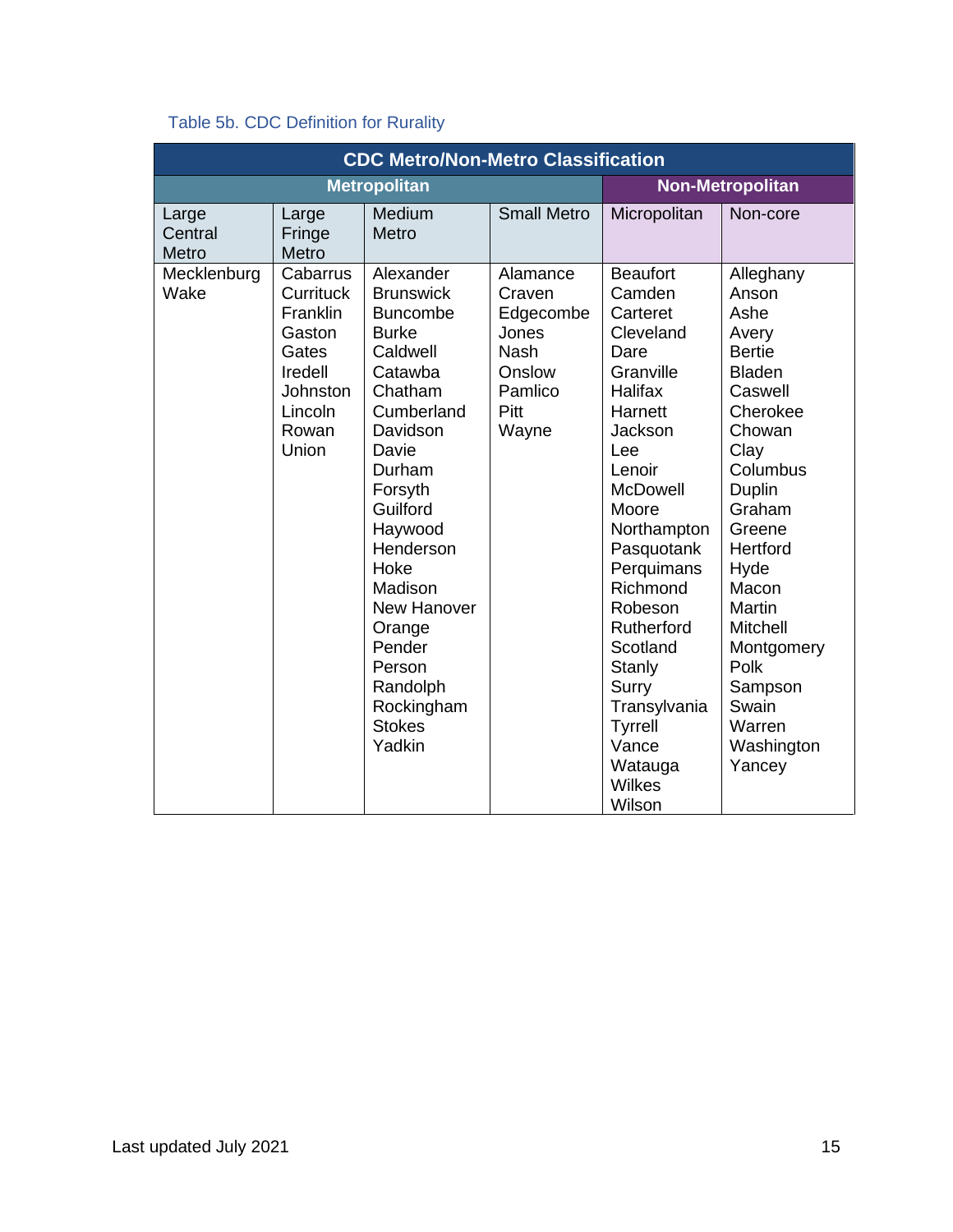# Table 5b. CDC Definition for Rurality

| <b>CDC Metro/Non-Metro Classification</b> |                                                                                                                 |                                                                                                                                                                                                                                                                                                                     |                                                                                               |                                                                                                                                                                                                                                                                                                                                                              |                                                                                                                                                                                                                                                                                                |  |
|-------------------------------------------|-----------------------------------------------------------------------------------------------------------------|---------------------------------------------------------------------------------------------------------------------------------------------------------------------------------------------------------------------------------------------------------------------------------------------------------------------|-----------------------------------------------------------------------------------------------|--------------------------------------------------------------------------------------------------------------------------------------------------------------------------------------------------------------------------------------------------------------------------------------------------------------------------------------------------------------|------------------------------------------------------------------------------------------------------------------------------------------------------------------------------------------------------------------------------------------------------------------------------------------------|--|
| <b>Metropolitan</b>                       |                                                                                                                 |                                                                                                                                                                                                                                                                                                                     |                                                                                               |                                                                                                                                                                                                                                                                                                                                                              | <b>Non-Metropolitan</b>                                                                                                                                                                                                                                                                        |  |
| Large<br>Central<br>Metro                 | Large<br>Fringe<br>Metro                                                                                        | Medium<br>Metro                                                                                                                                                                                                                                                                                                     | <b>Small Metro</b>                                                                            | Micropolitan                                                                                                                                                                                                                                                                                                                                                 | Non-core                                                                                                                                                                                                                                                                                       |  |
| Mecklenburg<br>Wake                       | Cabarrus<br>Currituck<br>Franklin<br>Gaston<br>Gates<br>Iredell<br><b>Johnston</b><br>Lincoln<br>Rowan<br>Union | Alexander<br><b>Brunswick</b><br><b>Buncombe</b><br><b>Burke</b><br>Caldwell<br>Catawba<br>Chatham<br>Cumberland<br>Davidson<br>Davie<br>Durham<br>Forsyth<br>Guilford<br>Haywood<br>Henderson<br>Hoke<br>Madison<br>New Hanover<br>Orange<br>Pender<br>Person<br>Randolph<br>Rockingham<br><b>Stokes</b><br>Yadkin | Alamance<br>Craven<br>Edgecombe<br>Jones<br><b>Nash</b><br>Onslow<br>Pamlico<br>Pitt<br>Wayne | <b>Beaufort</b><br>Camden<br>Carteret<br>Cleveland<br>Dare<br>Granville<br>Halifax<br>Harnett<br>Jackson<br>Lee<br>Lenoir<br><b>McDowell</b><br>Moore<br>Northampton<br>Pasquotank<br>Perquimans<br>Richmond<br>Robeson<br><b>Rutherford</b><br>Scotland<br>Stanly<br>Surry<br>Transylvania<br><b>Tyrrell</b><br>Vance<br>Watauga<br><b>Wilkes</b><br>Wilson | Alleghany<br>Anson<br>Ashe<br>Avery<br><b>Bertie</b><br><b>Bladen</b><br>Caswell<br>Cherokee<br>Chowan<br>Clay<br>Columbus<br><b>Duplin</b><br>Graham<br>Greene<br>Hertford<br>Hyde<br>Macon<br>Martin<br>Mitchell<br>Montgomery<br>Polk<br>Sampson<br>Swain<br>Warren<br>Washington<br>Yancey |  |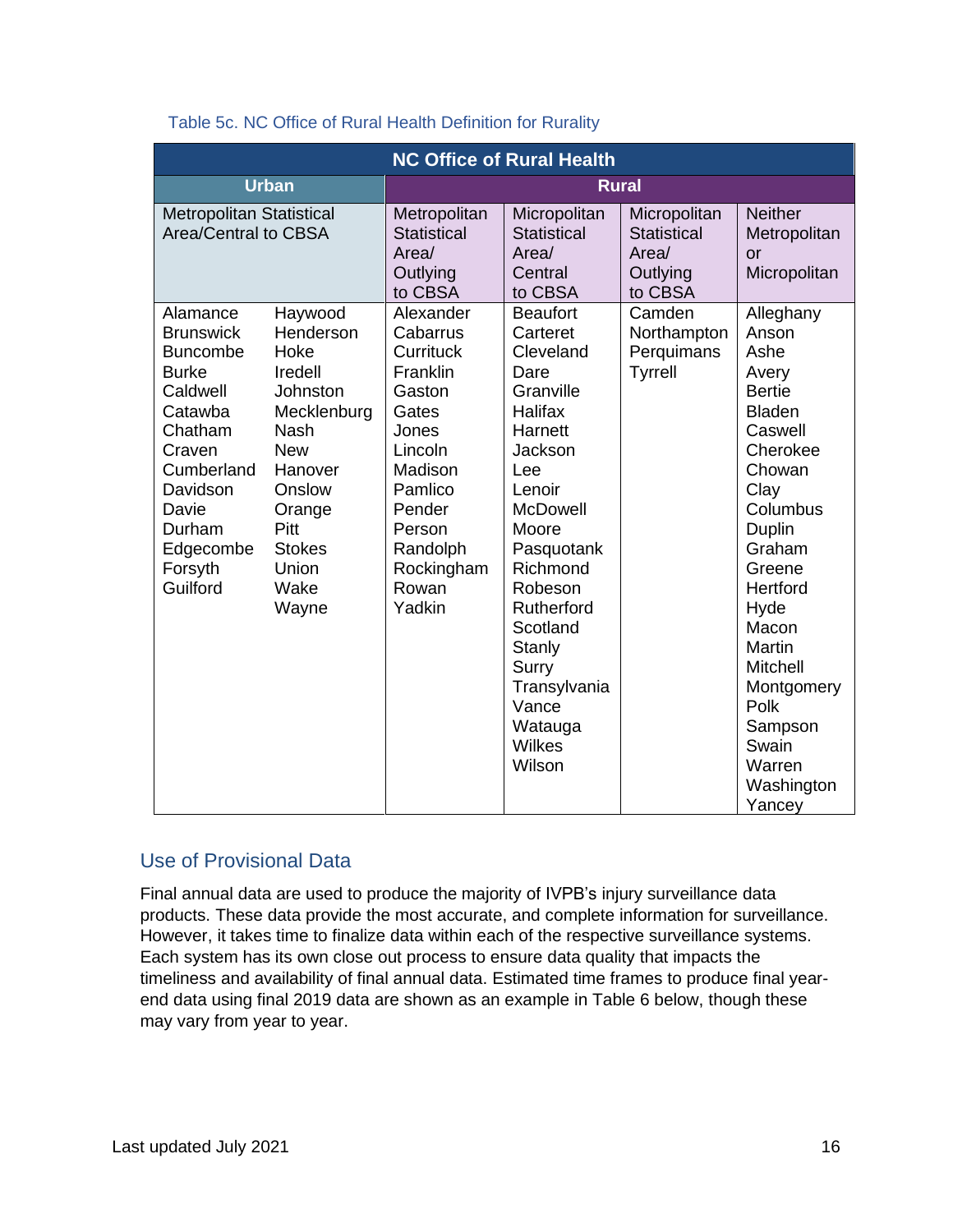| <b>NC Office of Rural Health</b>                                                                                                                                                             |                                                                                                                                                                                          |                                                                                                                                                                 |                                                                                                                                                                                                                                                                           |                                                                              |                                                                                                                                                                                                                                                                                   |
|----------------------------------------------------------------------------------------------------------------------------------------------------------------------------------------------|------------------------------------------------------------------------------------------------------------------------------------------------------------------------------------------|-----------------------------------------------------------------------------------------------------------------------------------------------------------------|---------------------------------------------------------------------------------------------------------------------------------------------------------------------------------------------------------------------------------------------------------------------------|------------------------------------------------------------------------------|-----------------------------------------------------------------------------------------------------------------------------------------------------------------------------------------------------------------------------------------------------------------------------------|
|                                                                                                                                                                                              | <b>Urban</b>                                                                                                                                                                             |                                                                                                                                                                 | <b>Rural</b>                                                                                                                                                                                                                                                              |                                                                              |                                                                                                                                                                                                                                                                                   |
| <b>Metropolitan Statistical</b><br>Area/Central to CBSA                                                                                                                                      |                                                                                                                                                                                          | Metropolitan<br><b>Statistical</b><br>Area/<br>Outlying<br>to CBSA<br>Alexander                                                                                 | Micropolitan<br><b>Statistical</b><br>Area/<br>Central<br>to CBSA<br><b>Beaufort</b>                                                                                                                                                                                      | Micropolitan<br><b>Statistical</b><br>Area/<br>Outlying<br>to CBSA<br>Camden | <b>Neither</b><br>Metropolitan<br>or<br>Micropolitan<br>Alleghany                                                                                                                                                                                                                 |
| Alamance<br><b>Brunswick</b><br><b>Buncombe</b><br><b>Burke</b><br>Caldwell<br>Catawba<br>Chatham<br>Craven<br>Cumberland<br>Davidson<br>Davie<br>Durham<br>Edgecombe<br>Forsyth<br>Guilford | Haywood<br>Henderson<br>Hoke<br>Iredell<br>Johnston<br>Mecklenburg<br><b>Nash</b><br><b>New</b><br>Hanover<br>Onslow<br>Orange<br><b>Pitt</b><br><b>Stokes</b><br>Union<br>Wake<br>Wayne | Cabarrus<br>Currituck<br>Franklin<br>Gaston<br>Gates<br>Jones<br>Lincoln<br>Madison<br>Pamlico<br>Pender<br>Person<br>Randolph<br>Rockingham<br>Rowan<br>Yadkin | Carteret<br>Cleveland<br>Dare<br>Granville<br>Halifax<br>Harnett<br>Jackson<br>Lee<br>Lenoir<br><b>McDowell</b><br>Moore<br>Pasquotank<br>Richmond<br>Robeson<br>Rutherford<br>Scotland<br><b>Stanly</b><br>Surry<br>Transylvania<br>Vance<br>Watauga<br>Wilkes<br>Wilson | Northampton<br>Perquimans<br>Tyrrell                                         | Anson<br>Ashe<br>Avery<br><b>Bertie</b><br><b>Bladen</b><br>Caswell<br>Cherokee<br>Chowan<br>Clay<br>Columbus<br>Duplin<br>Graham<br>Greene<br>Hertford<br>Hyde<br>Macon<br><b>Martin</b><br>Mitchell<br>Montgomery<br>Polk<br>Sampson<br>Swain<br>Warren<br>Washington<br>Yancey |

#### Table 5c. NC Office of Rural Health Definition for Rurality

# <span id="page-15-0"></span>Use of Provisional Data

Final annual data are used to produce the majority of IVPB's injury surveillance data products. These data provide the most accurate, and complete information for surveillance. However, it takes time to finalize data within each of the respective surveillance systems. Each system has its own close out process to ensure data quality that impacts the timeliness and availability of final annual data. Estimated time frames to produce final yearend data using final 2019 data are shown as an example in Table 6 below, though these may vary from year to year.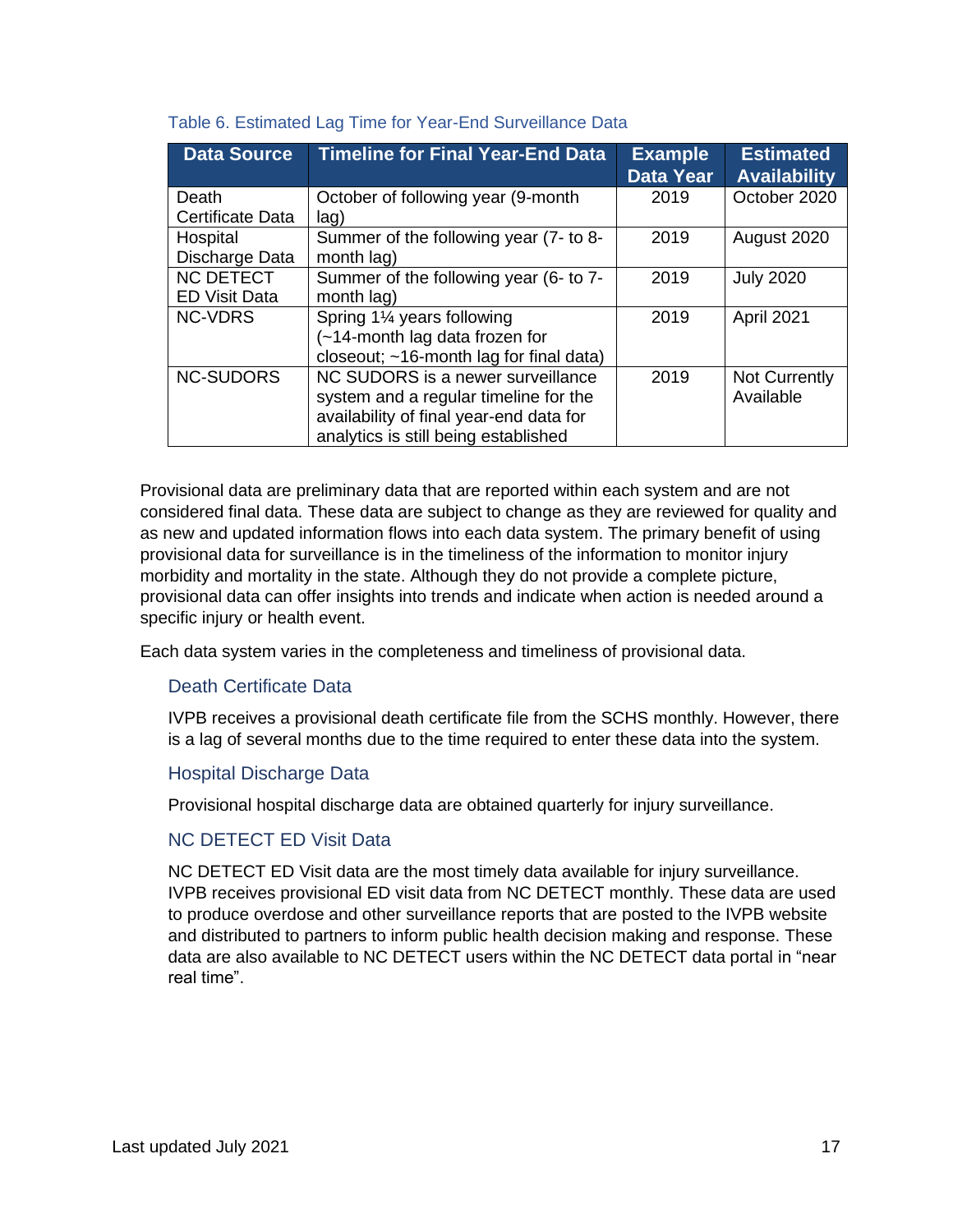| <b>Data Source</b>      | <b>Timeline for Final Year-End Data</b> | <b>Example</b><br><b>Data Year</b> | <b>Estimated</b><br><b>Availability</b> |
|-------------------------|-----------------------------------------|------------------------------------|-----------------------------------------|
| Death                   | October of following year (9-month      | 2019                               | October 2020                            |
| <b>Certificate Data</b> | lag)                                    |                                    |                                         |
| Hospital                | Summer of the following year (7- to 8-  | 2019                               | August 2020                             |
| Discharge Data          | month lag)                              |                                    |                                         |
| <b>NC DETECT</b>        | Summer of the following year (6- to 7-  | 2019                               | <b>July 2020</b>                        |
| <b>ED Visit Data</b>    | month lag)                              |                                    |                                         |
| <b>NC-VDRS</b>          | Spring 1% years following               | 2019                               | April 2021                              |
|                         | (~14-month lag data frozen for          |                                    |                                         |
|                         | closeout; ~16-month lag for final data) |                                    |                                         |
| <b>NC-SUDORS</b>        | NC SUDORS is a newer surveillance       | 2019                               | Not Currently                           |
|                         | system and a regular timeline for the   |                                    | Available                               |
|                         | availability of final year-end data for |                                    |                                         |
|                         | analytics is still being established    |                                    |                                         |

#### Table 6. Estimated Lag Time for Year-End Surveillance Data

Provisional data are preliminary data that are reported within each system and are not considered final data. These data are subject to change as they are reviewed for quality and as new and updated information flows into each data system. The primary benefit of using provisional data for surveillance is in the timeliness of the information to monitor injury morbidity and mortality in the state. Although they do not provide a complete picture, provisional data can offer insights into trends and indicate when action is needed around a specific injury or health event.

<span id="page-16-0"></span>Each data system varies in the completeness and timeliness of provisional data.

# Death Certificate Data

IVPB receives a provisional death certificate file from the SCHS monthly. However, there is a lag of several months due to the time required to enter these data into the system.

#### <span id="page-16-1"></span>Hospital Discharge Data

Provisional hospital discharge data are obtained quarterly for injury surveillance.

# <span id="page-16-2"></span>NC DETECT ED Visit Data

<span id="page-16-3"></span>NC DETECT ED Visit data are the most timely data available for injury surveillance. IVPB receives provisional ED visit data from NC DETECT monthly. These data are used to produce overdose and other surveillance reports that are posted to the IVPB website and distributed to partners to inform public health decision making and response. These data are also available to NC DETECT users within the NC DETECT data portal in "near real time".